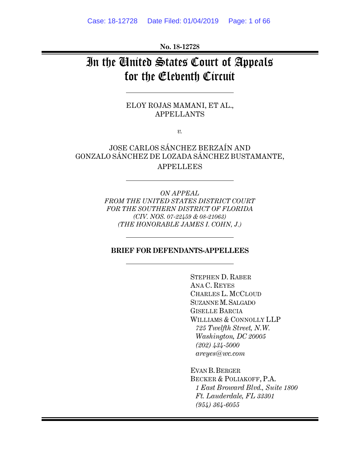**No. 18-12728** 

# In the United States Court of Appeals for the Eleventh Circuit

ELOY ROJAS MAMANI, ET AL., APPELLANTS

*v.* 

 JOSE CARLOS SÁNCHEZ BERZAÍN AND GONZALO SÁNCHEZ DE LOZADA SÁNCHEZ BUSTAMANTE, APPELLEES

> *ON APPEAL FROM THE UNITED STATES DISTRICT COURT FOR THE SOUTHERN DISTRICT OF FLORIDA (CIV. NOS. 07-22459 & 08-21063) (THE HONORABLE JAMES I. COHN, J.)*

#### **BRIEF FOR DEFENDANTS-APPELLEES**

 STEPHEN D. RABER ANA C. REYES CHARLES L. MCCLOUD SUZANNE M.SALGADO GISELLE BARCIA WILLIAMS & CONNOLLY LLP  *725 Twelfth Street, N.W. Washington, DC 20005 (202) 434-5000 areyes@wc.com*

EVAN B.BERGER BECKER & POLIAKOFF, P.A.  *1 East Broward Blvd., Suite 1800 Ft. Lauderdale, FL 33301 (954) 364-6055*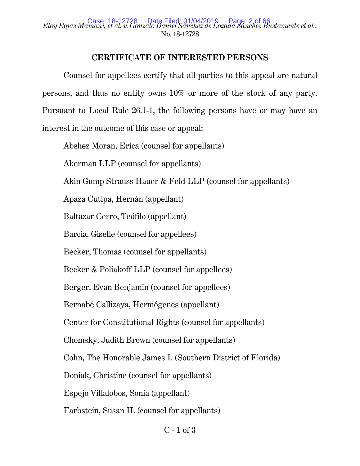## *Eloy Rojas Mamani, et al. v. Gonzalo Daniel Sánchez de Lozada Sánchez Bustamente et al.*, Case: 18-12728 Date Filed: 01/04/2019 Page: 2 of 66 No. 18-12728

## **CERTIFICATE OF INTERESTED PERSONS**

Counsel for appellees certify that all parties to this appeal are natural persons, and thus no entity owns 10% or more of the stock of any party. Pursuant to Local Rule 26.1-1, the following persons have or may have an interest in the outcome of this case or appeal:

Abshez Moran, Erica (counsel for appellants)

Akerman LLP (counsel for appellants)

Akin Gump Strauss Hauer & Feld LLP (counsel for appellants)

Apaza Cutipa, Hernán (appellant)

Baltazar Cerro, Teófilo (appellant)

Barcia, Giselle (counsel for appellees)

Becker, Thomas (counsel for appellants)

Becker & Poliakoff LLP (counsel for appellees)

Berger, Evan Benjamin (counsel for appellees)

Bernabé Callizaya, Hermógenes (appellant)

Center for Constitutional Rights (counsel for appellants)

Chomsky, Judith Brown (counsel for appellants)

Cohn, The Honorable James I. (Southern District of Florida)

Doniak, Christine (counsel for appellants)

Espejo Villalobos, Sonia (appellant)

Farbstein, Susan H. (counsel for appellants)

 $C - 1$  of  $3$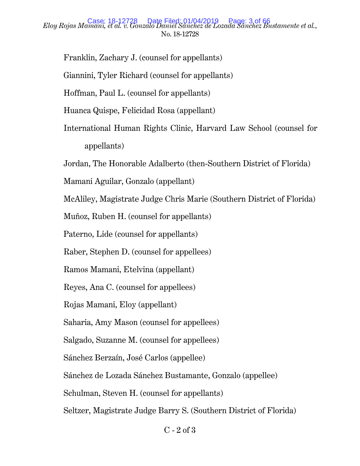## *Eloy Rojas Mamani, et al. v. Gonzalo Daniel Sánchez de Lozada Sánchez Bustamente et al.*, Case: 18-12728 Date Filed: 01/04/2019 Page: 3 of 66 No. 18-12728

Franklin, Zachary J. (counsel for appellants)

Giannini, Tyler Richard (counsel for appellants)

Hoffman, Paul L. (counsel for appellants)

Huanca Quispe, Felicidad Rosa (appellant)

International Human Rights Clinic, Harvard Law School (counsel for appellants)

Jordan, The Honorable Adalberto (then-Southern District of Florida)

Mamani Aguilar, Gonzalo (appellant)

McAliley, Magistrate Judge Chris Marie (Southern District of Florida)

Muñoz, Ruben H. (counsel for appellants)

Paterno, Lide (counsel for appellants)

Raber, Stephen D. (counsel for appellees)

Ramos Mamani, Etelvina (appellant)

Reyes, Ana C. (counsel for appellees)

Rojas Mamani, Eloy (appellant)

Saharia, Amy Mason (counsel for appellees)

Salgado, Suzanne M. (counsel for appellees)

Sánchez Berzaín, José Carlos (appellee)

Sánchez de Lozada Sánchez Bustamante, Gonzalo (appellee)

Schulman, Steven H. (counsel for appellants)

Seltzer, Magistrate Judge Barry S. (Southern District of Florida)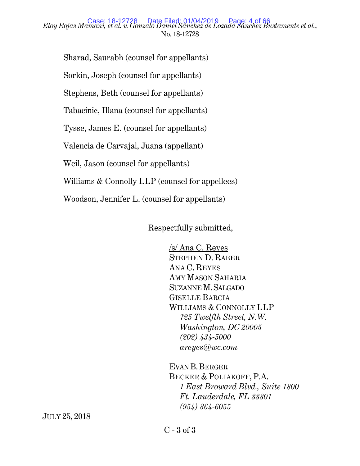## *Eloy Rojas Mamani, et al. v. Gonzalo Daniel Sánchez de Lozada Sánchez Bustamente et al.*, Case: 18-12728 Date Filed: 01/04/2019 Page: 4 of 66 No. 18-12728

Sharad, Saurabh (counsel for appellants) Sorkin, Joseph (counsel for appellants) Stephens, Beth (counsel for appellants) Tabacinic, Illana (counsel for appellants) Tysse, James E. (counsel for appellants) Valencia de Carvajal, Juana (appellant) Weil, Jason (counsel for appellants) Williams & Connolly LLP (counsel for appellees) Woodson, Jennifer L. (counsel for appellants)

Respectfully submitted,

 /s/ Ana C. Reyes STEPHEN D. RABER ANA C. REYES AMY MASON SAHARIA SUZANNE M.SALGADO GISELLE BARCIA WILLIAMS & CONNOLLY LLP  *725 Twelfth Street, N.W. Washington, DC 20005 (202) 434-5000 areyes@wc.com* 

 EVAN B.BERGER BECKER & POLIAKOFF, P.A.  *1 East Broward Blvd., Suite 1800 Ft. Lauderdale, FL 33301 (954) 364-6055* 

JULY 25, 2018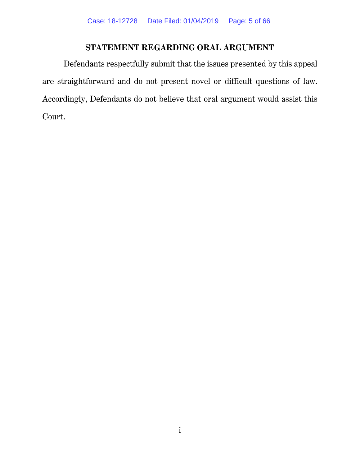## **STATEMENT REGARDING ORAL ARGUMENT**

Defendants respectfully submit that the issues presented by this appeal are straightforward and do not present novel or difficult questions of law. Accordingly, Defendants do not believe that oral argument would assist this Court.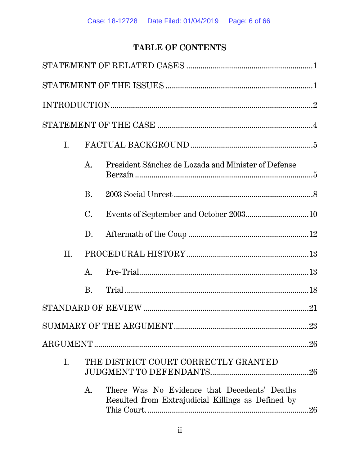## TABLE OF CONTENTS

|  | Ι.  |                |                                                                                                    |  |  |  |
|--|-----|----------------|----------------------------------------------------------------------------------------------------|--|--|--|
|  |     | $A_{\cdot}$    | President Sánchez de Lozada and Minister of Defense                                                |  |  |  |
|  |     | <b>B.</b>      |                                                                                                    |  |  |  |
|  |     | $\mathbf{C}$ . |                                                                                                    |  |  |  |
|  |     | D.             |                                                                                                    |  |  |  |
|  | II. |                |                                                                                                    |  |  |  |
|  |     | A.             |                                                                                                    |  |  |  |
|  |     | B.             |                                                                                                    |  |  |  |
|  |     |                |                                                                                                    |  |  |  |
|  |     |                |                                                                                                    |  |  |  |
|  |     |                |                                                                                                    |  |  |  |
|  | Ι.  |                | THE DISTRICT COURT CORRECTLY GRANTED                                                               |  |  |  |
|  |     | A.             | There Was No Evidence that Decedents' Deaths<br>Resulted from Extrajudicial Killings as Defined by |  |  |  |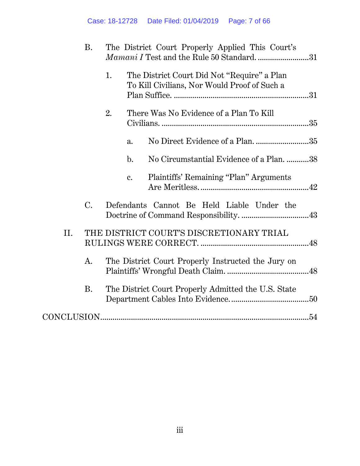|     | <b>B.</b>   |    | The District Court Properly Applied This Court's<br><i>Mamani I</i> Test and the Rule 50 Standard. 31 |  |
|-----|-------------|----|-------------------------------------------------------------------------------------------------------|--|
|     |             | 1. | The District Court Did Not "Require" a Plan<br>To Kill Civilians, Nor Would Proof of Such a           |  |
|     |             | 2. | There Was No Evidence of a Plan To Kill                                                               |  |
|     |             |    | No Direct Evidence of a Plan. 35<br>a.                                                                |  |
|     |             |    | No Circumstantial Evidence of a Plan. 38<br>$\mathbf{b}$ .                                            |  |
|     |             |    | Plaintiffs' Remaining "Plan" Arguments<br>c.                                                          |  |
|     | $C_{\cdot}$ |    | Defendants Cannot Be Held Liable Under the                                                            |  |
| II. |             |    | THE DISTRICT COURT'S DISCRETIONARY TRIAL                                                              |  |
|     | A.          |    | The District Court Properly Instructed the Jury on                                                    |  |
|     | <b>B.</b>   |    | The District Court Properly Admitted the U.S. State                                                   |  |
|     |             |    |                                                                                                       |  |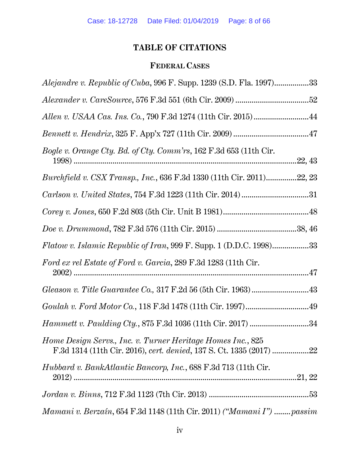## **TABLE OF CITATIONS**

## **FEDERAL CASES**

| Alejandre v. Republic of Cuba, 996 F. Supp. 1239 (S.D. Fla. 1997)33       |
|---------------------------------------------------------------------------|
|                                                                           |
|                                                                           |
|                                                                           |
| Bogle v. Orange Cty. Bd. of Cty. Comm'rs, 162 F.3d 653 (11th Cir.         |
| Burchfield v. CSX Transp., Inc., 636 F.3d 1330 (11th Cir. 2011)22, 23     |
|                                                                           |
|                                                                           |
|                                                                           |
| <i>Flatow v. Islamic Republic of Iran,</i> 999 F. Supp. 1 (D.D.C. 1998)33 |
| Ford ex rel Estate of Ford v. Garcia, 289 F.3d 1283 (11th Cir.            |
|                                                                           |
|                                                                           |
| Hammett v. Paulding Cty., 875 F.3d 1036 (11th Cir. 2017) 34               |
| Home Design Servs., Inc. v. Turner Heritage Homes Inc., 825               |
| <i>Hubbard v. BankAtlantic Bancorp, Inc.</i> , 688 F.3d 713 (11th Cir.    |
|                                                                           |
| Mamani v. Berzaín, 654 F.3d 1148 (11th Cir. 2011) ("Mamani I")  passim    |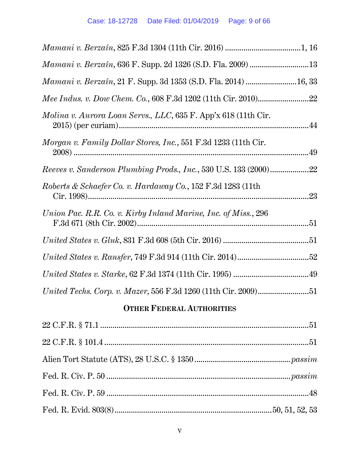| Mamani v. Berzaín, 636 F. Supp. 2d 1326 (S.D. Fla. 2009) 13      |  |
|------------------------------------------------------------------|--|
| Mamani v. Berzaín, 21 F. Supp. 3d 1353 (S.D. Fla. 2014)  16, 33  |  |
|                                                                  |  |
| Molina v. Aurora Loan Servs., LLC, 635 F. App'x 618 (11th Cir.   |  |
| Morgan v. Family Dollar Stores, Inc., 551 F.3d 1233 (11th Cir.   |  |
| Reeves v. Sanderson Plumbing Prods., Inc., 530 U.S. 133 (2000)22 |  |
| Roberts & Schaefer Co. v. Hardaway Co., 152 F.3d 1283 (11th      |  |
| Union Pac. R.R. Co. v. Kirby Inland Marine, Inc. of Miss., 296   |  |
|                                                                  |  |
|                                                                  |  |
|                                                                  |  |
| United Techs. Corp. v. Mazer, 556 F.3d 1260 (11th Cir. 2009)51   |  |
|                                                                  |  |

## **OTHER FEDERAL AUTHORITIES**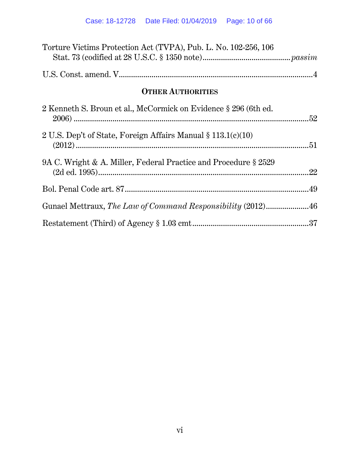| Torture Victims Protection Act (TVPA), Pub. L. No. 102-256, 106 |  |  |
|-----------------------------------------------------------------|--|--|
|                                                                 |  |  |
| <b>OTHER AUTHORITIES</b>                                        |  |  |
| 2 Kenneth S. Broun et al., McCormick on Evidence § 296 (6th ed. |  |  |
| 2 U.S. Dep't of State, Foreign Affairs Manual § 113.1(c)(10)    |  |  |
| 9A C. Wright & A. Miller, Federal Practice and Procedure § 2529 |  |  |
|                                                                 |  |  |
| Gunael Mettraux, The Law of Command Responsibility (2012)46     |  |  |
|                                                                 |  |  |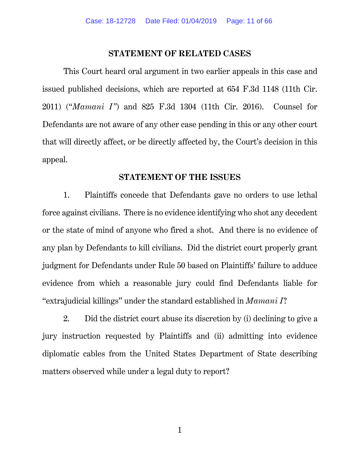#### **STATEMENT OF RELATED CASES**

This Court heard oral argument in two earlier appeals in this case and issued published decisions, which are reported at 654 F.3d 1148 (11th Cir. 2011) ("*Mamani I"*) and 825 F.3d 1304 (11th Cir. 2016). Counsel for Defendants are not aware of any other case pending in this or any other court that will directly affect, or be directly affected by, the Court's decision in this appeal.

### **STATEMENT OF THE ISSUES**

1. Plaintiffs concede that Defendants gave no orders to use lethal force against civilians. There is no evidence identifying who shot any decedent or the state of mind of anyone who fired a shot. And there is no evidence of any plan by Defendants to kill civilians. Did the district court properly grant judgment for Defendants under Rule 50 based on Plaintiffs' failure to adduce evidence from which a reasonable jury could find Defendants liable for "extrajudicial killings" under the standard established in *Mamani I*?

2. Did the district court abuse its discretion by (i) declining to give a jury instruction requested by Plaintiffs and (ii) admitting into evidence diplomatic cables from the United States Department of State describing matters observed while under a legal duty to report?

1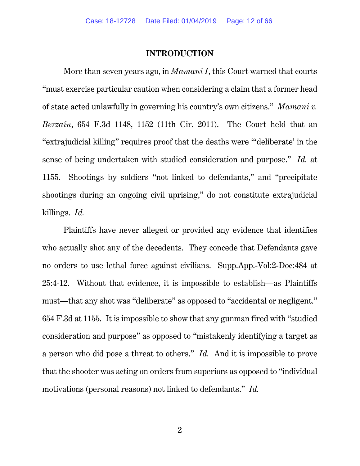### **INTRODUCTION**

More than seven years ago, in *Mamani I*, this Court warned that courts "must exercise particular caution when considering a claim that a former head of state acted unlawfully in governing his country's own citizens." *Mamani v. Berzaín*, 654 F.3d 1148, 1152 (11th Cir. 2011). The Court held that an "extrajudicial killing" requires proof that the deaths were "'deliberate' in the sense of being undertaken with studied consideration and purpose." *Id.* at 1155. Shootings by soldiers "not linked to defendants," and "precipitate shootings during an ongoing civil uprising," do not constitute extrajudicial killings. *Id.* 

Plaintiffs have never alleged or provided any evidence that identifies who actually shot any of the decedents. They concede that Defendants gave no orders to use lethal force against civilians. Supp.App.-Vol:2-Doc:484 at 25:4-12. Without that evidence, it is impossible to establish—as Plaintiffs must—that any shot was "deliberate" as opposed to "accidental or negligent." 654 F.3d at 1155. It is impossible to show that any gunman fired with "studied consideration and purpose" as opposed to "mistakenly identifying a target as a person who did pose a threat to others." *Id.* And it is impossible to prove that the shooter was acting on orders from superiors as opposed to "individual motivations (personal reasons) not linked to defendants." *Id.*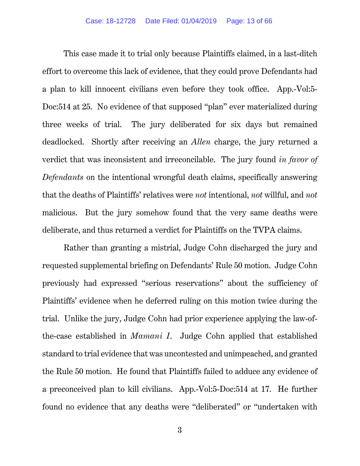This case made it to trial only because Plaintiffs claimed, in a last-ditch effort to overcome this lack of evidence, that they could prove Defendants had a plan to kill innocent civilians even before they took office. App.-Vol:5- Doc:514 at 25. No evidence of that supposed "plan" ever materialized during three weeks of trial. The jury deliberated for six days but remained deadlocked. Shortly after receiving an *Allen* charge, the jury returned a verdict that was inconsistent and irreconcilable. The jury found *in favor of Defendants* on the intentional wrongful death claims, specifically answering that the deaths of Plaintiffs' relatives were *not* intentional, *not* willful, and *not* malicious. But the jury somehow found that the very same deaths were deliberate, and thus returned a verdict for Plaintiffs on the TVPA claims.

Rather than granting a mistrial, Judge Cohn discharged the jury and requested supplemental briefing on Defendants' Rule 50 motion. Judge Cohn previously had expressed "serious reservations" about the sufficiency of Plaintiffs' evidence when he deferred ruling on this motion twice during the trial. Unlike the jury, Judge Cohn had prior experience applying the law-ofthe-case established in *Mamani I*. Judge Cohn applied that established standard to trial evidence that was uncontested and unimpeached, and granted the Rule 50 motion. He found that Plaintiffs failed to adduce any evidence of a preconceived plan to kill civilians. App.-Vol:5-Doc:514 at 17. He further found no evidence that any deaths were "deliberated" or "undertaken with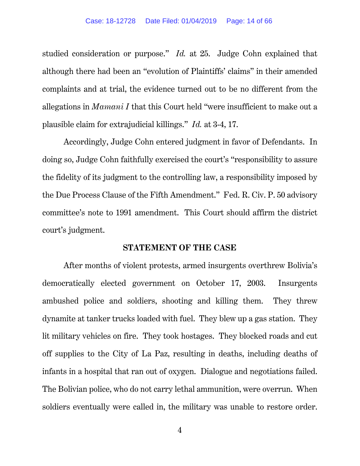studied consideration or purpose." *Id.* at 25. Judge Cohn explained that although there had been an "evolution of Plaintiffs' claims" in their amended complaints and at trial, the evidence turned out to be no different from the allegations in *Mamani I* that this Court held "were insufficient to make out a plausible claim for extrajudicial killings." *Id.* at 3-4, 17.

Accordingly, Judge Cohn entered judgment in favor of Defendants. In doing so, Judge Cohn faithfully exercised the court's "responsibility to assure the fidelity of its judgment to the controlling law, a responsibility imposed by the Due Process Clause of the Fifth Amendment." Fed. R. Civ. P. 50 advisory committee's note to 1991 amendment. This Court should affirm the district court's judgment.

#### **STATEMENT OF THE CASE**

After months of violent protests, armed insurgents overthrew Bolivia's democratically elected government on October 17, 2003. Insurgents ambushed police and soldiers, shooting and killing them. They threw dynamite at tanker trucks loaded with fuel. They blew up a gas station. They lit military vehicles on fire. They took hostages. They blocked roads and cut off supplies to the City of La Paz, resulting in deaths, including deaths of infants in a hospital that ran out of oxygen. Dialogue and negotiations failed. The Bolivian police, who do not carry lethal ammunition, were overrun. When soldiers eventually were called in, the military was unable to restore order.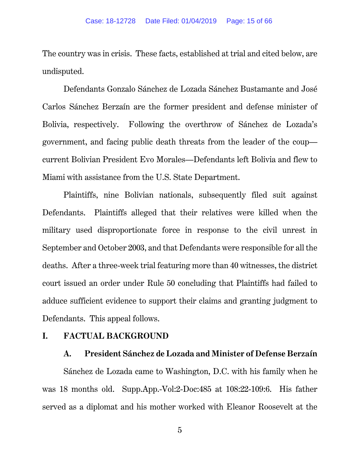The country was in crisis. These facts, established at trial and cited below, are undisputed.

Defendants Gonzalo Sánchez de Lozada Sánchez Bustamante and José Carlos Sánchez Berzaín are the former president and defense minister of Bolivia, respectively. Following the overthrow of Sánchez de Lozada's government, and facing public death threats from the leader of the coup current Bolivian President Evo Morales—Defendants left Bolivia and flew to Miami with assistance from the U.S. State Department.

Plaintiffs, nine Bolivian nationals, subsequently filed suit against Defendants. Plaintiffs alleged that their relatives were killed when the military used disproportionate force in response to the civil unrest in September and October 2003, and that Defendants were responsible for all the deaths. After a three-week trial featuring more than 40 witnesses, the district court issued an order under Rule 50 concluding that Plaintiffs had failed to adduce sufficient evidence to support their claims and granting judgment to Defendants. This appeal follows.

### **I. FACTUAL BACKGROUND**

### **A. President Sánchez de Lozada and Minister of Defense Berzaín**

Sánchez de Lozada came to Washington, D.C. with his family when he was 18 months old. Supp.App.-Vol:2-Doc:485 at 108:22-109:6. His father served as a diplomat and his mother worked with Eleanor Roosevelt at the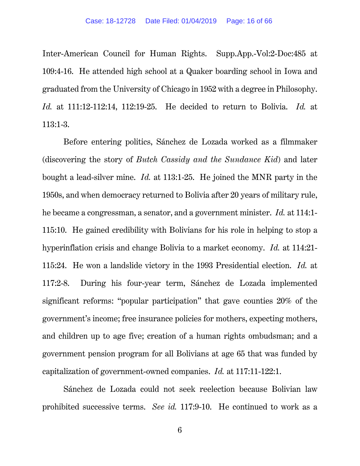Inter-American Council for Human Rights. Supp.App.-Vol:2-Doc:485 at 109:4-16. He attended high school at a Quaker boarding school in Iowa and graduated from the University of Chicago in 1952 with a degree in Philosophy. *Id.* at 111:12-112:14, 112:19-25. He decided to return to Bolivia. *Id.* at 113:1-3.

Before entering politics, Sánchez de Lozada worked as a filmmaker (discovering the story of *Butch Cassidy and the Sundance Kid*) and later bought a lead-silver mine. *Id.* at 113:1-25. He joined the MNR party in the 1950s, and when democracy returned to Bolivia after 20 years of military rule, he became a congressman, a senator, and a government minister. *Id.* at 114:1- 115:10. He gained credibility with Bolivians for his role in helping to stop a hyperinflation crisis and change Bolivia to a market economy. *Id.* at 114:21- 115:24. He won a landslide victory in the 1993 Presidential election. *Id.* at 117:2-8. During his four-year term, Sánchez de Lozada implemented significant reforms: "popular participation" that gave counties 20% of the government's income; free insurance policies for mothers, expecting mothers, and children up to age five; creation of a human rights ombudsman; and a government pension program for all Bolivians at age 65 that was funded by capitalization of government-owned companies. *Id.* at 117:11-122:1.

Sánchez de Lozada could not seek reelection because Bolivian law prohibited successive terms. *See id.* 117:9-10. He continued to work as a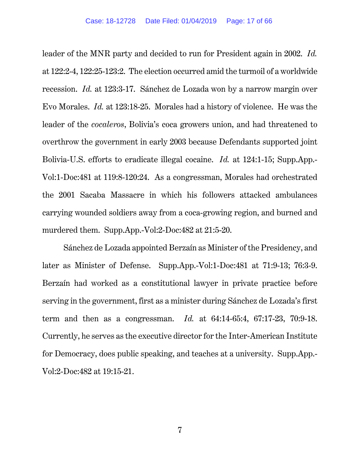leader of the MNR party and decided to run for President again in 2002. *Id.*  at 122:2-4, 122:25-123:2. The election occurred amid the turmoil of a worldwide recession. *Id.* at 123:3-17. Sánchez de Lozada won by a narrow margin over Evo Morales. *Id.* at 123:18-25. Morales had a history of violence. He was the leader of the *cocaleros*, Bolivia's coca growers union, and had threatened to overthrow the government in early 2003 because Defendants supported joint Bolivia-U.S. efforts to eradicate illegal cocaine. *Id.* at 124:1-15; Supp.App.- Vol:1-Doc:481 at 119:8-120:24. As a congressman, Morales had orchestrated the 2001 Sacaba Massacre in which his followers attacked ambulances carrying wounded soldiers away from a coca-growing region, and burned and murdered them. Supp.App.-Vol:2-Doc:482 at 21:5-20.

Sánchez de Lozada appointed Berzaín as Minister of the Presidency, and later as Minister of Defense. Supp.App.-Vol:1-Doc:481 at 71:9-13; 76:3-9. Berzaín had worked as a constitutional lawyer in private practice before serving in the government, first as a minister during Sánchez de Lozada's first term and then as a congressman. *Id.* at 64:14-65:4, 67:17-23, 70:9-18. Currently, he serves as the executive director for the Inter-American Institute for Democracy, does public speaking, and teaches at a university. Supp.App.- Vol:2-Doc:482 at 19:15-21.

7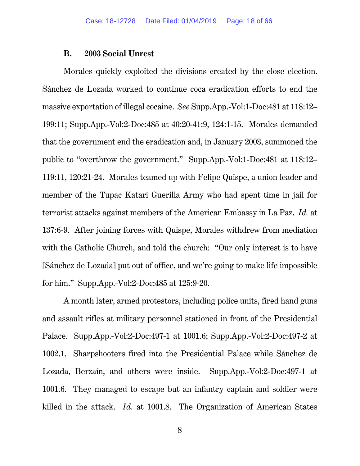### **B. 2003 Social Unrest**

Morales quickly exploited the divisions created by the close election. Sánchez de Lozada worked to continue coca eradication efforts to end the massive exportation of illegal cocaine. *See* Supp.App.-Vol:1-Doc:481 at 118:12– 199:11; Supp.App.-Vol:2-Doc:485 at 40:20-41:9, 124:1-15. Morales demanded that the government end the eradication and, in January 2003, summoned the public to "overthrow the government." Supp.App.-Vol:1-Doc:481 at 118:12– 119:11, 120:21-24. Morales teamed up with Felipe Quispe, a union leader and member of the Tupac Katari Guerilla Army who had spent time in jail for terrorist attacks against members of the American Embassy in La Paz. *Id.* at 137:6-9. After joining forces with Quispe, Morales withdrew from mediation with the Catholic Church, and told the church: "Our only interest is to have [Sánchez de Lozada] put out of office, and we're going to make life impossible for him." Supp.App.-Vol:2-Doc:485 at 125:9-20.

A month later, armed protestors, including police units, fired hand guns and assault rifles at military personnel stationed in front of the Presidential Palace. Supp.App.-Vol:2-Doc:497-1 at 1001.6; Supp.App.-Vol:2-Doc:497-2 at 1002.1. Sharpshooters fired into the Presidential Palace while Sánchez de Lozada, Berzaín, and others were inside. Supp.App.-Vol:2-Doc:497-1 at 1001.6.They managed to escape but an infantry captain and soldier were killed in the attack. *Id.* at 1001.8. The Organization of American States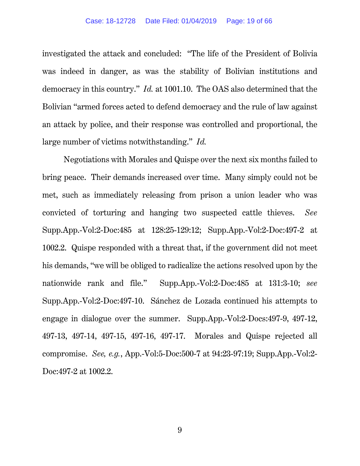investigated the attack and concluded: "The life of the President of Bolivia was indeed in danger, as was the stability of Bolivian institutions and democracy in this country." *Id.* at 1001.10. The OAS also determined that the Bolivian "armed forces acted to defend democracy and the rule of law against an attack by police, and their response was controlled and proportional, the large number of victims notwithstanding." *Id.*

Negotiations with Morales and Quispe over the next six months failed to bring peace. Their demands increased over time. Many simply could not be met, such as immediately releasing from prison a union leader who was convicted of torturing and hanging two suspected cattle thieves. *See*  Supp.App.-Vol:2-Doc:485 at 128:25-129:12; Supp.App.-Vol:2-Doc:497-2 at 1002.2. Quispe responded with a threat that, if the government did not meet his demands, "we will be obliged to radicalize the actions resolved upon by the nationwide rank and file." Supp.App.-Vol:2-Doc:485 at 131:3-10; *see*  Supp.App.-Vol:2-Doc:497-10. Sánchez de Lozada continued his attempts to engage in dialogue over the summer. Supp.App.-Vol:2-Docs:497-9, 497-12, 497-13, 497-14, 497-15, 497-16, 497-17. Morales and Quispe rejected all compromise. *See, e.g.*, App.-Vol:5-Doc:500-7 at 94:23-97:19; Supp.App.-Vol:2- Doc:497-2 at 1002.2.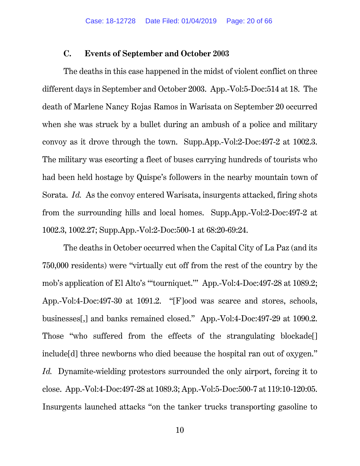#### **C. Events of September and October 2003**

The deaths in this case happened in the midst of violent conflict on three different days in September and October 2003. App.-Vol:5-Doc:514 at 18. The death of Marlene Nancy Rojas Ramos in Warisata on September 20 occurred when she was struck by a bullet during an ambush of a police and military convoy as it drove through the town. Supp.App.-Vol:2-Doc:497-2 at 1002.3. The military was escorting a fleet of buses carrying hundreds of tourists who had been held hostage by Quispe's followers in the nearby mountain town of Sorata. *Id.* As the convoy entered Warisata, insurgents attacked, firing shots from the surrounding hills and local homes. Supp.App.-Vol:2-Doc:497-2 at 1002.3, 1002.27; Supp.App.-Vol:2-Doc:500-1 at 68:20-69:24.

The deaths in October occurred when the Capital City of La Paz (and its 750,000 residents) were "virtually cut off from the rest of the country by the mob's application of El Alto's "'tourniquet.'" App.-Vol:4-Doc:497-28 at 1089.2; App.-Vol:4-Doc:497-30 at 1091.2. "[F]ood was scarce and stores, schools, businesses[,] and banks remained closed." App.-Vol:4-Doc:497-29 at 1090.2. Those "who suffered from the effects of the strangulating blockade[] include[d] three newborns who died because the hospital ran out of oxygen." *Id.* Dynamite-wielding protestors surrounded the only airport, forcing it to close. App.-Vol:4-Doc:497-28 at 1089.3; App.-Vol:5-Doc:500-7 at 119:10-120:05. Insurgents launched attacks "on the tanker trucks transporting gasoline to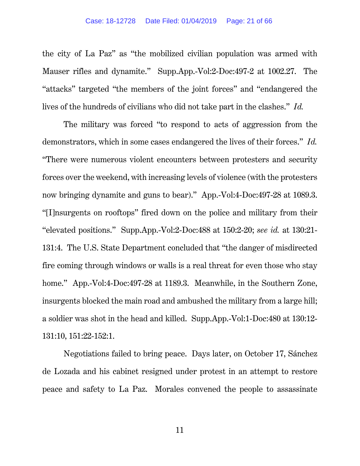the city of La Paz" as "the mobilized civilian population was armed with Mauser rifles and dynamite." Supp.App.-Vol:2-Doc:497-2 at 1002.27. The "attacks" targeted "the members of the joint forces" and "endangered the lives of the hundreds of civilians who did not take part in the clashes." *Id.*

The military was forced "to respond to acts of aggression from the demonstrators, which in some cases endangered the lives of their forces." *Id.* "There were numerous violent encounters between protesters and security forces over the weekend, with increasing levels of violence (with the protesters now bringing dynamite and guns to bear)." App.-Vol:4-Doc:497-28 at 1089.3. "[I]nsurgents on rooftops" fired down on the police and military from their "elevated positions." Supp.App.-Vol:2-Doc:488 at 150:2-20; *see id.* at 130:21- 131:4. The U.S. State Department concluded that "the danger of misdirected fire coming through windows or walls is a real threat for even those who stay home." App.-Vol:4-Doc:497-28 at 1189.3. Meanwhile, in the Southern Zone, insurgents blocked the main road and ambushed the military from a large hill; a soldier was shot in the head and killed. Supp.App.-Vol:1-Doc:480 at 130:12- 131:10, 151:22-152:1.

Negotiations failed to bring peace. Days later, on October 17, Sánchez de Lozada and his cabinet resigned under protest in an attempt to restore peace and safety to La Paz. Morales convened the people to assassinate

11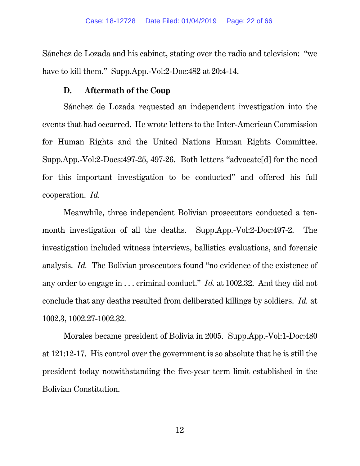Sánchez de Lozada and his cabinet, stating over the radio and television: "we have to kill them." Supp.App.-Vol:2-Doc:482 at 20:4-14.

### **D. Aftermath of the Coup**

Sánchez de Lozada requested an independent investigation into the events that had occurred. He wrote letters to the Inter-American Commission for Human Rights and the United Nations Human Rights Committee. Supp.App.-Vol:2-Docs:497-25, 497-26. Both letters "advocate[d] for the need for this important investigation to be conducted" and offered his full cooperation. *Id.* 

Meanwhile, three independent Bolivian prosecutors conducted a tenmonth investigation of all the deaths. Supp.App.-Vol:2-Doc:497-2. The investigation included witness interviews, ballistics evaluations, and forensic analysis. *Id.* The Bolivian prosecutors found "no evidence of the existence of any order to engage in . . . criminal conduct." *Id.* at 1002.32. And they did not conclude that any deaths resulted from deliberated killings by soldiers. *Id.* at 1002.3, 1002.27-1002.32.

Morales became president of Bolivia in 2005. Supp.App.-Vol:1-Doc:480 at 121:12-17. His control over the government is so absolute that he is still the president today notwithstanding the five-year term limit established in the Bolivian Constitution.

12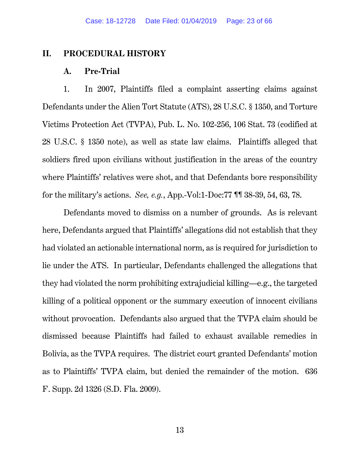### **II. PROCEDURAL HISTORY**

#### **A. Pre-Trial**

1. In 2007, Plaintiffs filed a complaint asserting claims against Defendants under the Alien Tort Statute (ATS), 28 U.S.C. § 1350, and Torture Victims Protection Act (TVPA), Pub. L. No. 102-256, 106 Stat. 73 (codified at 28 U.S.C. § 1350 note), as well as state law claims. Plaintiffs alleged that soldiers fired upon civilians without justification in the areas of the country where Plaintiffs' relatives were shot, and that Defendants bore responsibility for the military's actions. *See, e.g.*, App.-Vol:1-Doc:77 ¶¶ 38-39, 54, 63, 78.

Defendants moved to dismiss on a number of grounds. As is relevant here, Defendants argued that Plaintiffs' allegations did not establish that they had violated an actionable international norm, as is required for jurisdiction to lie under the ATS. In particular, Defendants challenged the allegations that they had violated the norm prohibiting extrajudicial killing—e.g., the targeted killing of a political opponent or the summary execution of innocent civilians without provocation. Defendants also argued that the TVPA claim should be dismissed because Plaintiffs had failed to exhaust available remedies in Bolivia, as the TVPA requires. The district court granted Defendants' motion as to Plaintiffs' TVPA claim, but denied the remainder of the motion. 636 F. Supp. 2d 1326 (S.D. Fla. 2009).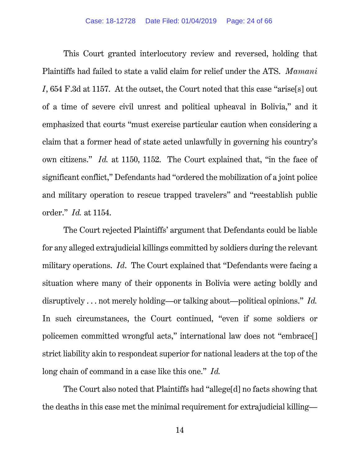This Court granted interlocutory review and reversed, holding that Plaintiffs had failed to state a valid claim for relief under the ATS. *Mamani I*, 654 F.3d at 1157. At the outset, the Court noted that this case "arise[s] out of a time of severe civil unrest and political upheaval in Bolivia," and it emphasized that courts "must exercise particular caution when considering a claim that a former head of state acted unlawfully in governing his country's own citizens." *Id.* at 1150, 1152. The Court explained that, "in the face of significant conflict," Defendants had "ordered the mobilization of a joint police and military operation to rescue trapped travelers" and "reestablish public order." *Id.* at 1154.

The Court rejected Plaintiffs' argument that Defendants could be liable for any alleged extrajudicial killings committed by soldiers during the relevant military operations. *Id*. The Court explained that "Defendants were facing a situation where many of their opponents in Bolivia were acting boldly and disruptively . . . not merely holding—or talking about—political opinions." *Id.* In such circumstances, the Court continued, "even if some soldiers or policemen committed wrongful acts," international law does not "embrace[] strict liability akin to respondeat superior for national leaders at the top of the long chain of command in a case like this one." *Id.*

The Court also noted that Plaintiffs had "allege[d] no facts showing that the deaths in this case met the minimal requirement for extrajudicial killing—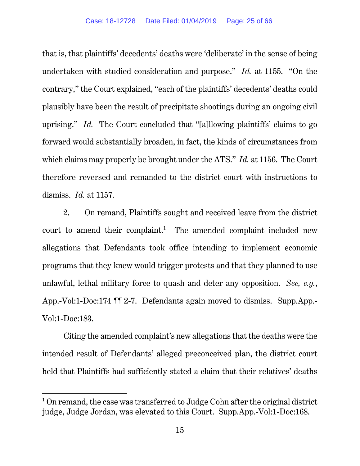that is, that plaintiffs' decedents' deaths were 'deliberate' in the sense of being undertaken with studied consideration and purpose." *Id.* at 1155. "On the contrary," the Court explained, "each of the plaintiffs' decedents' deaths could plausibly have been the result of precipitate shootings during an ongoing civil uprising." *Id.* The Court concluded that "[a]llowing plaintiffs' claims to go forward would substantially broaden, in fact, the kinds of circumstances from which claims may properly be brought under the ATS." *Id.* at 1156. The Court therefore reversed and remanded to the district court with instructions to dismiss. *Id.* at 1157.

2. On remand, Plaintiffs sought and received leave from the district court to amend their complaint.<sup>1</sup> The amended complaint included new allegations that Defendants took office intending to implement economic programs that they knew would trigger protests and that they planned to use unlawful, lethal military force to quash and deter any opposition. *See, e.g.*, App.-Vol:1-Doc:174 ¶¶ 2-7. Defendants again moved to dismiss. Supp.App.- Vol:1-Doc:183.

Citing the amended complaint's new allegations that the deaths were the intended result of Defendants' alleged preconceived plan, the district court held that Plaintiffs had sufficiently stated a claim that their relatives' deaths

<sup>&</sup>lt;sup>1</sup> On remand, the case was transferred to Judge Cohn after the original district judge, Judge Jordan, was elevated to this Court. Supp.App.-Vol:1-Doc:168.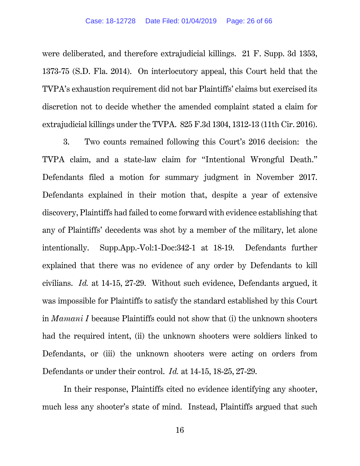were deliberated, and therefore extrajudicial killings. 21 F. Supp. 3d 1353, 1373-75 (S.D. Fla. 2014). On interlocutory appeal, this Court held that the TVPA's exhaustion requirement did not bar Plaintiffs' claims but exercised its discretion not to decide whether the amended complaint stated a claim for extrajudicial killings under the TVPA. 825 F.3d 1304, 1312-13 (11th Cir. 2016).

3. Two counts remained following this Court's 2016 decision: the TVPA claim, and a state-law claim for "Intentional Wrongful Death." Defendants filed a motion for summary judgment in November 2017. Defendants explained in their motion that, despite a year of extensive discovery, Plaintiffs had failed to come forward with evidence establishing that any of Plaintiffs' decedents was shot by a member of the military, let alone intentionally. Supp.App.-Vol:1-Doc:342-1 at 18-19. Defendants further explained that there was no evidence of any order by Defendants to kill civilians. *Id.* at 14-15, 27-29. Without such evidence, Defendants argued, it was impossible for Plaintiffs to satisfy the standard established by this Court in *Mamani I* because Plaintiffs could not show that (i) the unknown shooters had the required intent, (ii) the unknown shooters were soldiers linked to Defendants, or (iii) the unknown shooters were acting on orders from Defendants or under their control. *Id.* at 14-15, 18-25, 27-29.

In their response, Plaintiffs cited no evidence identifying any shooter, much less any shooter's state of mind. Instead, Plaintiffs argued that such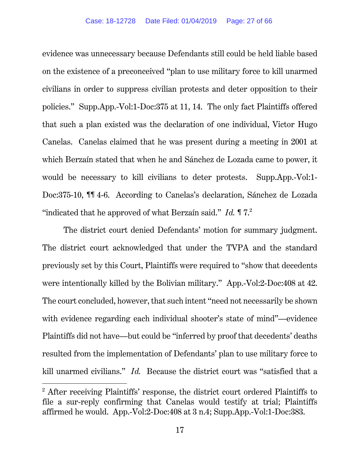evidence was unnecessary because Defendants still could be held liable based on the existence of a preconceived "plan to use military force to kill unarmed civilians in order to suppress civilian protests and deter opposition to their policies." Supp.App.-Vol:1-Doc:375 at 11, 14. The only fact Plaintiffs offered that such a plan existed was the declaration of one individual, Victor Hugo Canelas. Canelas claimed that he was present during a meeting in 2001 at which Berzaín stated that when he and Sánchez de Lozada came to power, it would be necessary to kill civilians to deter protests. Supp.App.-Vol:1- Doc:375-10, ¶¶ 4-6. According to Canelas's declaration, Sánchez de Lozada "indicated that he approved of what Berzaín said." *Id.* ¶ 7.2

The district court denied Defendants' motion for summary judgment. The district court acknowledged that under the TVPA and the standard previously set by this Court, Plaintiffs were required to "show that decedents were intentionally killed by the Bolivian military." App.-Vol:2-Doc:408 at 42. The court concluded, however, that such intent "need not necessarily be shown with evidence regarding each individual shooter's state of mind"—evidence Plaintiffs did not have—but could be "inferred by proof that decedents' deaths resulted from the implementation of Defendants' plan to use military force to kill unarmed civilians." *Id.* Because the district court was "satisfied that a

<sup>&</sup>lt;sup>2</sup> After receiving Plaintiffs' response, the district court ordered Plaintiffs to file a sur-reply confirming that Canelas would testify at trial; Plaintiffs affirmed he would. App.-Vol:2-Doc:408 at 3 n.4; Supp.App.-Vol:1-Doc:383.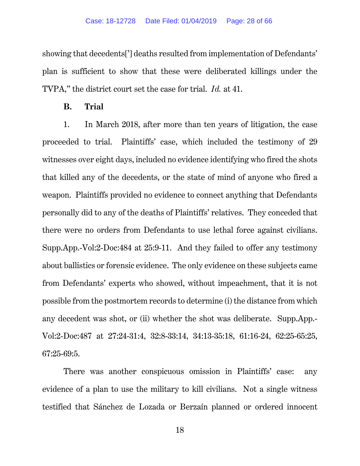showing that decedents['] deaths resulted from implementation of Defendants' plan is sufficient to show that these were deliberated killings under the TVPA," the district court set the case for trial. *Id.* at 41.

#### **B. Trial**

1. In March 2018, after more than ten years of litigation, the case proceeded to trial. Plaintiffs' case, which included the testimony of 29 witnesses over eight days, included no evidence identifying who fired the shots that killed any of the decedents, or the state of mind of anyone who fired a weapon. Plaintiffs provided no evidence to connect anything that Defendants personally did to any of the deaths of Plaintiffs' relatives. They conceded that there were no orders from Defendants to use lethal force against civilians. Supp.App.-Vol:2-Doc:484 at 25:9-11. And they failed to offer any testimony about ballistics or forensic evidence. The only evidence on these subjects came from Defendants' experts who showed, without impeachment, that it is not possible from the postmortem records to determine (i) the distance from which any decedent was shot, or (ii) whether the shot was deliberate. Supp.App.- Vol:2-Doc:487 at 27:24-31:4, 32:8-33:14, 34:13-35:18, 61:16-24, 62:25-65:25, 67:25-69:5.

There was another conspicuous omission in Plaintiffs' case: any evidence of a plan to use the military to kill civilians. Not a single witness testified that Sánchez de Lozada or Berzaín planned or ordered innocent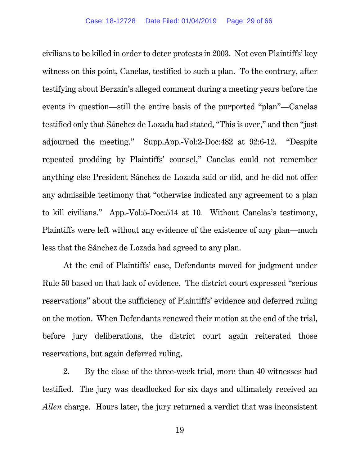civilians to be killed in order to deter protests in 2003. Not even Plaintiffs' key witness on this point, Canelas, testified to such a plan. To the contrary, after testifying about Berzaín's alleged comment during a meeting years before the events in question—still the entire basis of the purported "plan"—Canelas testified only that Sánchez de Lozada had stated, "This is over," and then "just adjourned the meeting." Supp.App.-Vol:2-Doc:482 at 92:6-12. "Despite repeated prodding by Plaintiffs' counsel," Canelas could not remember anything else President Sánchez de Lozada said or did, and he did not offer any admissible testimony that "otherwise indicated any agreement to a plan to kill civilians." App.-Vol:5-Doc:514 at 10*.* Without Canelas's testimony, Plaintiffs were left without any evidence of the existence of any plan—much less that the Sánchez de Lozada had agreed to any plan.

At the end of Plaintiffs' case, Defendants moved for judgment under Rule 50 based on that lack of evidence. The district court expressed "serious reservations" about the sufficiency of Plaintiffs' evidence and deferred ruling on the motion. When Defendants renewed their motion at the end of the trial, before jury deliberations, the district court again reiterated those reservations, but again deferred ruling.

2. By the close of the three-week trial, more than 40 witnesses had testified. The jury was deadlocked for six days and ultimately received an *Allen* charge. Hours later, the jury returned a verdict that was inconsistent

19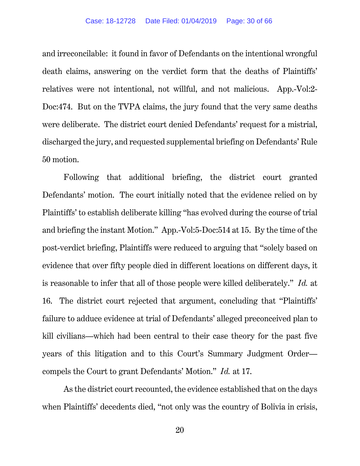and irreconcilable: it found in favor of Defendants on the intentional wrongful death claims, answering on the verdict form that the deaths of Plaintiffs' relatives were not intentional, not willful, and not malicious. App.-Vol:2- Doc:474. But on the TVPA claims, the jury found that the very same deaths were deliberate. The district court denied Defendants' request for a mistrial, discharged the jury, and requested supplemental briefing on Defendants' Rule 50 motion.

Following that additional briefing, the district court granted Defendants' motion. The court initially noted that the evidence relied on by Plaintiffs' to establish deliberate killing "has evolved during the course of trial and briefing the instant Motion." App.-Vol:5-Doc:514 at 15. By the time of the post-verdict briefing, Plaintiffs were reduced to arguing that "solely based on evidence that over fifty people died in different locations on different days, it is reasonable to infer that all of those people were killed deliberately." *Id.* at 16. The district court rejected that argument, concluding that "Plaintiffs' failure to adduce evidence at trial of Defendants' alleged preconceived plan to kill civilians—which had been central to their case theory for the past five years of this litigation and to this Court's Summary Judgment Order compels the Court to grant Defendants' Motion." *Id.* at 17.

As the district court recounted, the evidence established that on the days when Plaintiffs' decedents died, "not only was the country of Bolivia in crisis,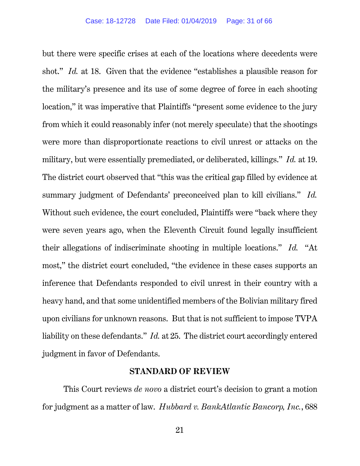but there were specific crises at each of the locations where decedents were shot." *Id.* at 18. Given that the evidence "establishes a plausible reason for the military's presence and its use of some degree of force in each shooting location," it was imperative that Plaintiffs "present some evidence to the jury from which it could reasonably infer (not merely speculate) that the shootings were more than disproportionate reactions to civil unrest or attacks on the military, but were essentially premediated, or deliberated, killings." *Id.* at 19. The district court observed that "this was the critical gap filled by evidence at summary judgment of Defendants' preconceived plan to kill civilians." *Id.* Without such evidence, the court concluded, Plaintiffs were "back where they were seven years ago, when the Eleventh Circuit found legally insufficient their allegations of indiscriminate shooting in multiple locations." *Id.* "At most," the district court concluded, "the evidence in these cases supports an inference that Defendants responded to civil unrest in their country with a heavy hand, and that some unidentified members of the Bolivian military fired upon civilians for unknown reasons. But that is not sufficient to impose TVPA liability on these defendants." *Id.* at 25. The district court accordingly entered judgment in favor of Defendants.

#### **STANDARD OF REVIEW**

This Court reviews *de novo* a district court's decision to grant a motion for judgment as a matter of law. *Hubbard v. BankAtlantic Bancorp, Inc.*, 688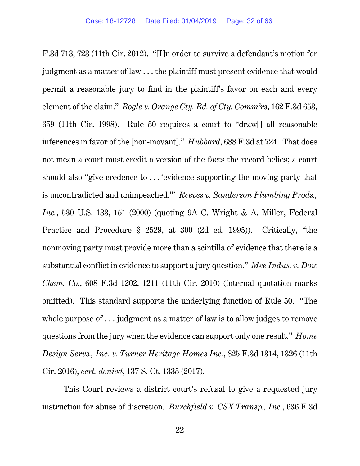F.3d 713, 723 (11th Cir. 2012). "[I]n order to survive a defendant's motion for judgment as a matter of law . . . the plaintiff must present evidence that would permit a reasonable jury to find in the plaintiff's favor on each and every element of the claim." *Bogle v. Orange Cty. Bd. of Cty. Comm'rs*, 162 F.3d 653, 659 (11th Cir. 1998). Rule 50 requires a court to "draw[] all reasonable inferences in favor of the [non-movant]." *Hubbard*, 688 F.3d at 724. That does not mean a court must credit a version of the facts the record belies; a court should also "give credence to . . . 'evidence supporting the moving party that is uncontradicted and unimpeached.'" *Reeves v. Sanderson Plumbing Prods., Inc.*, 530 U.S. 133, 151 (2000) (quoting 9A C. Wright & A. Miller, Federal Practice and Procedure § 2529, at 300 (2d ed. 1995)). Critically, "the nonmoving party must provide more than a scintilla of evidence that there is a substantial conflict in evidence to support a jury question." *Mee Indus. v. Dow Chem. Co.*, 608 F.3d 1202, 1211 (11th Cir. 2010) (internal quotation marks omitted). This standard supports the underlying function of Rule 50. "The whole purpose of . . . judgment as a matter of law is to allow judges to remove questions from the jury when the evidence can support only one result." *Home Design Servs., Inc. v. Turner Heritage Homes Inc.*, 825 F.3d 1314, 1326 (11th Cir. 2016), *cert. denied*, 137 S. Ct. 1335 (2017).

This Court reviews a district court's refusal to give a requested jury instruction for abuse of discretion. *Burchfield v. CSX Transp., Inc.*, 636 F.3d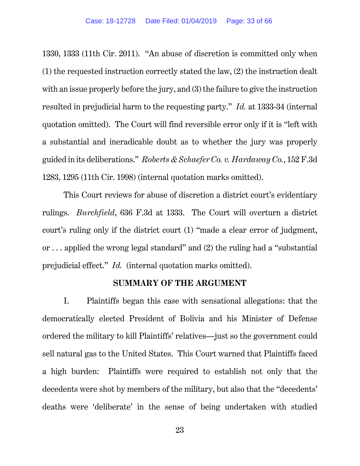1330, 1333 (11th Cir. 2011). "An abuse of discretion is committed only when (1) the requested instruction correctly stated the law, (2) the instruction dealt with an issue properly before the jury, and (3) the failure to give the instruction resulted in prejudicial harm to the requesting party." *Id.* at 1333-34 (internal quotation omitted). The Court will find reversible error only if it is "left with a substantial and ineradicable doubt as to whether the jury was properly guided in its deliberations." *Roberts & Schaefer Co. v. Hardaway Co.*, 152 F.3d 1283, 1295 (11th Cir. 1998) (internal quotation marks omitted).

This Court reviews for abuse of discretion a district court's evidentiary rulings. *Burchfield*, 636 F.3d at 1333. The Court will overturn a district court's ruling only if the district court (1) "made a clear error of judgment, or . . . applied the wrong legal standard" and (2) the ruling had a "substantial prejudicial effect." *Id.* (internal quotation marks omitted).

#### **SUMMARY OF THE ARGUMENT**

I. Plaintiffs began this case with sensational allegations: that the democratically elected President of Bolivia and his Minister of Defense ordered the military to kill Plaintiffs' relatives—just so the government could sell natural gas to the United States. This Court warned that Plaintiffs faced a high burden: Plaintiffs were required to establish not only that the decedents were shot by members of the military, but also that the "decedents' deaths were 'deliberate' in the sense of being undertaken with studied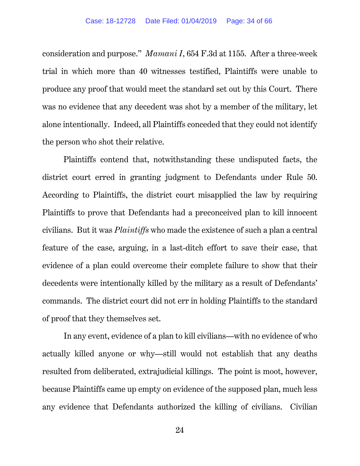consideration and purpose." *Mamani I*, 654 F.3d at 1155. After a three-week trial in which more than 40 witnesses testified, Plaintiffs were unable to produce any proof that would meet the standard set out by this Court. There was no evidence that any decedent was shot by a member of the military, let alone intentionally. Indeed, all Plaintiffs conceded that they could not identify the person who shot their relative.

Plaintiffs contend that, notwithstanding these undisputed facts, the district court erred in granting judgment to Defendants under Rule 50. According to Plaintiffs, the district court misapplied the law by requiring Plaintiffs to prove that Defendants had a preconceived plan to kill innocent civilians. But it was *Plaintiffs* who made the existence of such a plan a central feature of the case, arguing, in a last-ditch effort to save their case, that evidence of a plan could overcome their complete failure to show that their decedents were intentionally killed by the military as a result of Defendants' commands. The district court did not err in holding Plaintiffs to the standard of proof that they themselves set.

In any event, evidence of a plan to kill civilians—with no evidence of who actually killed anyone or why—still would not establish that any deaths resulted from deliberated, extrajudicial killings. The point is moot, however, because Plaintiffs came up empty on evidence of the supposed plan, much less any evidence that Defendants authorized the killing of civilians. Civilian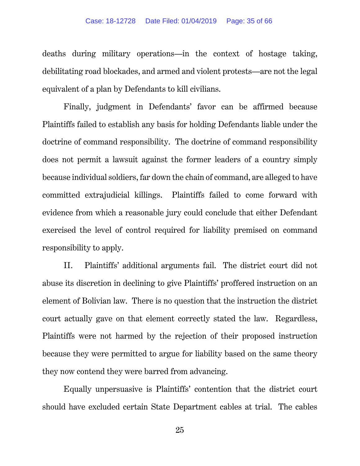deaths during military operations—in the context of hostage taking, debilitating road blockades, and armed and violent protests—are not the legal equivalent of a plan by Defendants to kill civilians.

Finally, judgment in Defendants' favor can be affirmed because Plaintiffs failed to establish any basis for holding Defendants liable under the doctrine of command responsibility. The doctrine of command responsibility does not permit a lawsuit against the former leaders of a country simply because individual soldiers, far down the chain of command, are alleged to have committed extrajudicial killings. Plaintiffs failed to come forward with evidence from which a reasonable jury could conclude that either Defendant exercised the level of control required for liability premised on command responsibility to apply.

II. Plaintiffs' additional arguments fail. The district court did not abuse its discretion in declining to give Plaintiffs' proffered instruction on an element of Bolivian law. There is no question that the instruction the district court actually gave on that element correctly stated the law. Regardless, Plaintiffs were not harmed by the rejection of their proposed instruction because they were permitted to argue for liability based on the same theory they now contend they were barred from advancing.

Equally unpersuasive is Plaintiffs' contention that the district court should have excluded certain State Department cables at trial. The cables

25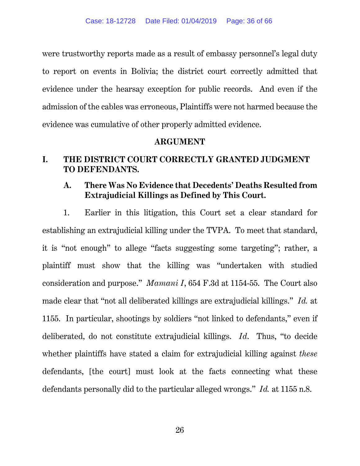were trustworthy reports made as a result of embassy personnel's legal duty to report on events in Bolivia; the district court correctly admitted that evidence under the hearsay exception for public records. And even if the admission of the cables was erroneous, Plaintiffs were not harmed because the evidence was cumulative of other properly admitted evidence.

### **ARGUMENT**

## **I. THE DISTRICT COURT CORRECTLY GRANTED JUDGMENT TO DEFENDANTS.**

## **A. There Was No Evidence that Decedents' Deaths Resulted from Extrajudicial Killings as Defined by This Court.**

1. Earlier in this litigation, this Court set a clear standard for establishing an extrajudicial killing under the TVPA. To meet that standard, it is "not enough" to allege "facts suggesting some targeting"; rather, a plaintiff must show that the killing was "undertaken with studied consideration and purpose." *Mamani I*, 654 F.3d at 1154-55. The Court also made clear that "not all deliberated killings are extrajudicial killings." *Id.* at 1155. In particular, shootings by soldiers "not linked to defendants," even if deliberated, do not constitute extrajudicial killings. *Id*. Thus, "to decide whether plaintiffs have stated a claim for extrajudicial killing against *these* defendants, [the court] must look at the facts connecting what these defendants personally did to the particular alleged wrongs." *Id.* at 1155 n.8.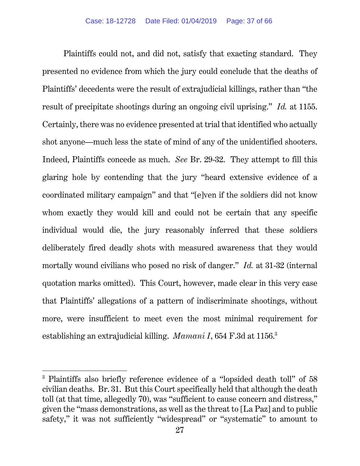Plaintiffs could not, and did not, satisfy that exacting standard. They presented no evidence from which the jury could conclude that the deaths of Plaintiffs' decedents were the result of extrajudicial killings, rather than "the result of precipitate shootings during an ongoing civil uprising." *Id.* at 1155. Certainly, there was no evidence presented at trial that identified who actually shot anyone—much less the state of mind of any of the unidentified shooters. Indeed, Plaintiffs concede as much. *See* Br. 29-32. They attempt to fill this glaring hole by contending that the jury "heard extensive evidence of a coordinated military campaign" and that "[e]ven if the soldiers did not know whom exactly they would kill and could not be certain that any specific individual would die, the jury reasonably inferred that these soldiers deliberately fired deadly shots with measured awareness that they would mortally wound civilians who posed no risk of danger." *Id.* at 31-32 (internal quotation marks omitted). This Court, however, made clear in this very case that Plaintiffs' allegations of a pattern of indiscriminate shootings, without more, were insufficient to meet even the most minimal requirement for establishing an extrajudicial killing. *Mamani I*, 654 F.3d at 1156.3

<sup>3</sup> Plaintiffs also briefly reference evidence of a "lopsided death toll" of 58 civilian deaths. Br. 31. But this Court specifically held that although the death toll (at that time, allegedly 70), was "sufficient to cause concern and distress," given the "mass demonstrations, as well as the threat to [La Paz] and to public safety," it was not sufficiently "widespread" or "systematic" to amount to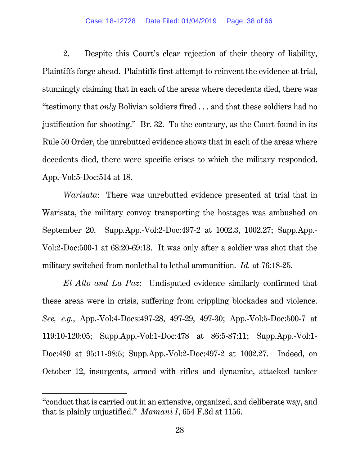2. Despite this Court's clear rejection of their theory of liability, Plaintiffs forge ahead. Plaintiffs first attempt to reinvent the evidence at trial, stunningly claiming that in each of the areas where decedents died, there was "testimony that *only* Bolivian soldiers fired . . . and that these soldiers had no justification for shooting." Br. 32. To the contrary, as the Court found in its Rule 50 Order, the unrebutted evidence shows that in each of the areas where decedents died, there were specific crises to which the military responded. App.-Vol:5-Doc:514 at 18.

*Warisata*: There was unrebutted evidence presented at trial that in Warisata, the military convoy transporting the hostages was ambushed on September 20. Supp.App.-Vol:2-Doc:497-2 at 1002.3, 1002.27; Supp.App.- Vol:2-Doc:500-1 at 68:20-69:13. It was only after a soldier was shot that the military switched from nonlethal to lethal ammunition. *Id.* at 76:18-25.

*El Alto and La Paz*: Undisputed evidence similarly confirmed that these areas were in crisis, suffering from crippling blockades and violence. *See, e.g.*, App.-Vol:4-Docs:497-28, 497-29, 497-30; App.-Vol:5-Doc:500-7 at 119:10-120:05; Supp.App.-Vol:1-Doc:478 at 86:5-87:11; Supp.App.-Vol:1- Doc:480 at 95:11-98:5; Supp.App.-Vol:2-Doc:497-2 at 1002.27. Indeed, on October 12, insurgents, armed with rifles and dynamite, attacked tanker

<sup>&</sup>quot;conduct that is carried out in an extensive, organized, and deliberate way, and that is plainly unjustified." *Mamani I*, 654 F.3d at 1156.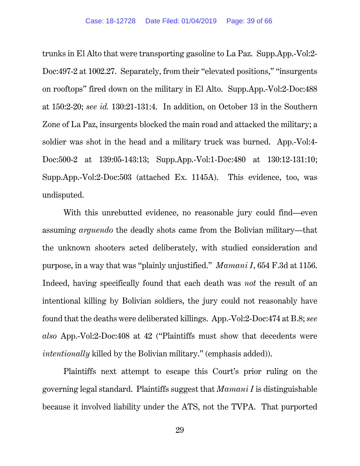trunks in El Alto that were transporting gasoline to La Paz. Supp.App.-Vol:2- Doc:497-2 at 1002.27. Separately, from their "elevated positions," "insurgents on rooftops" fired down on the military in El Alto. Supp.App.-Vol:2-Doc:488 at 150:2-20; *see id.* 130:21-131:4. In addition, on October 13 in the Southern Zone of La Paz, insurgents blocked the main road and attacked the military; a soldier was shot in the head and a military truck was burned. App.-Vol:4- Doc:500-2 at 139:05-143:13; Supp.App.-Vol:1-Doc:480 at 130:12-131:10; Supp.App.-Vol:2-Doc:503 (attached Ex. 1145A). This evidence, too, was undisputed.

With this unrebutted evidence, no reasonable jury could find—even assuming *arguendo* the deadly shots came from the Bolivian military—that the unknown shooters acted deliberately, with studied consideration and purpose, in a way that was "plainly unjustified." *Mamani I*, 654 F.3d at 1156. Indeed, having specifically found that each death was *not* the result of an intentional killing by Bolivian soldiers, the jury could not reasonably have found that the deaths were deliberated killings. App.-Vol:2-Doc:474 at B.8; *see also* App.-Vol:2-Doc:408 at 42 ("Plaintiffs must show that decedents were *intentionally* killed by the Bolivian military." (emphasis added)).

Plaintiffs next attempt to escape this Court's prior ruling on the governing legal standard. Plaintiffs suggest that *Mamani I* is distinguishable because it involved liability under the ATS, not the TVPA. That purported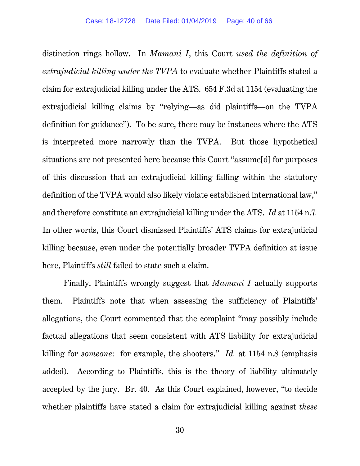distinction rings hollow. In *Mamani I*, this Court *used the definition of extrajudicial killing under the TVPA* to evaluate whether Plaintiffs stated a claim for extrajudicial killing under the ATS. 654 F.3d at 1154 (evaluating the extrajudicial killing claims by "relying—as did plaintiffs—on the TVPA definition for guidance"). To be sure, there may be instances where the ATS is interpreted more narrowly than the TVPA. But those hypothetical situations are not presented here because this Court "assume[d] for purposes of this discussion that an extrajudicial killing falling within the statutory definition of the TVPA would also likely violate established international law," and therefore constitute an extrajudicial killing under the ATS. *Id* at 1154 n.7*.* In other words, this Court dismissed Plaintiffs' ATS claims for extrajudicial killing because, even under the potentially broader TVPA definition at issue here, Plaintiffs *still* failed to state such a claim.

Finally, Plaintiffs wrongly suggest that *Mamani I* actually supports them. Plaintiffs note that when assessing the sufficiency of Plaintiffs' allegations, the Court commented that the complaint "may possibly include factual allegations that seem consistent with ATS liability for extrajudicial killing for *someone*: for example, the shooters." *Id.* at 1154 n.8 (emphasis added). According to Plaintiffs, this is the theory of liability ultimately accepted by the jury. Br. 40. As this Court explained, however, "to decide whether plaintiffs have stated a claim for extrajudicial killing against *these*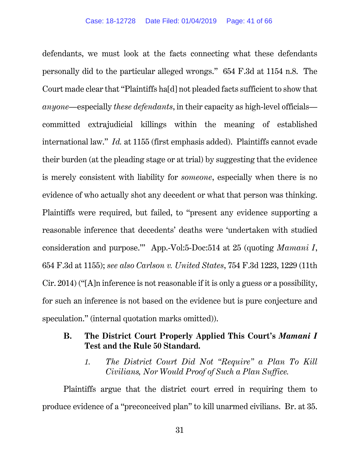defendants, we must look at the facts connecting what these defendants personally did to the particular alleged wrongs." 654 F.3d at 1154 n.8. The Court made clear that "Plaintiffs ha[d] not pleaded facts sufficient to show that *anyone—*especially *these defendants*, in their capacity as high-level officials committed extrajudicial killings within the meaning of established international law." *Id.* at 1155 (first emphasis added). Plaintiffs cannot evade their burden (at the pleading stage or at trial) by suggesting that the evidence is merely consistent with liability for *someone*, especially when there is no evidence of who actually shot any decedent or what that person was thinking. Plaintiffs were required, but failed, to "present any evidence supporting a reasonable inference that decedents' deaths were 'undertaken with studied consideration and purpose.'" App.-Vol:5-Doc:514 at 25 (quoting *Mamani I*, 654 F.3d at 1155); *see also Carlson v. United States*, 754 F.3d 1223, 1229 (11th Cir. 2014) ("[A]n inference is not reasonable if it is only a guess or a possibility, for such an inference is not based on the evidence but is pure conjecture and speculation." (internal quotation marks omitted)).

### **B. The District Court Properly Applied This Court's** *Mamani I*  **Test and the Rule 50 Standard.**

*1. The District Court Did Not "Require" a Plan To Kill Civilians, Nor Would Proof of Such a Plan Suffice.* 

Plaintiffs argue that the district court erred in requiring them to produce evidence of a "preconceived plan" to kill unarmed civilians. Br. at 35.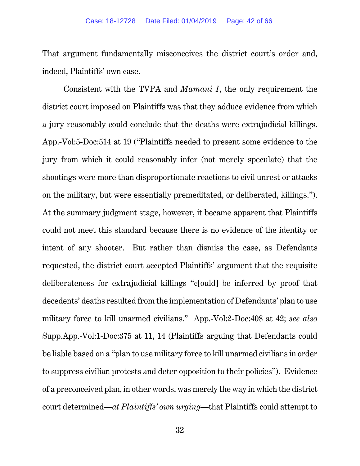That argument fundamentally misconceives the district court's order and, indeed, Plaintiffs' own case.

Consistent with the TVPA and *Mamani I*, the only requirement the district court imposed on Plaintiffs was that they adduce evidence from which a jury reasonably could conclude that the deaths were extrajudicial killings. App.-Vol:5-Doc:514 at 19 ("Plaintiffs needed to present some evidence to the jury from which it could reasonably infer (not merely speculate) that the shootings were more than disproportionate reactions to civil unrest or attacks on the military, but were essentially premeditated, or deliberated, killings."). At the summary judgment stage, however, it became apparent that Plaintiffs could not meet this standard because there is no evidence of the identity or intent of any shooter. But rather than dismiss the case, as Defendants requested, the district court accepted Plaintiffs' argument that the requisite deliberateness for extrajudicial killings "c[ould] be inferred by proof that decedents' deaths resulted from the implementation of Defendants' plan to use military force to kill unarmed civilians." App.-Vol:2-Doc:408 at 42; *see also* Supp.App.-Vol:1-Doc:375 at 11, 14 (Plaintiffs arguing that Defendants could be liable based on a "plan to use military force to kill unarmed civilians in order to suppress civilian protests and deter opposition to their policies"). Evidence of a preconceived plan, in other words, was merely the way in which the district court determined—*at Plaintiffs' own urging*—that Plaintiffs could attempt to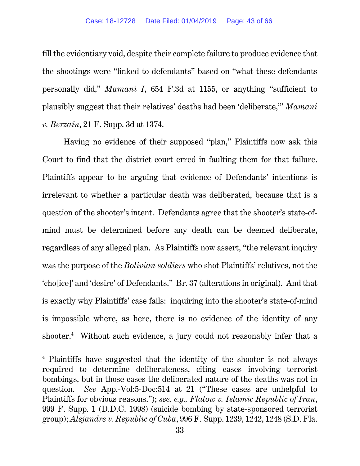fill the evidentiary void, despite their complete failure to produce evidence that the shootings were "linked to defendants" based on "what these defendants personally did," *Mamani I*, 654 F.3d at 1155, or anything "sufficient to plausibly suggest that their relatives' deaths had been 'deliberate,'" *Mamani v. Berzaín*, 21 F. Supp. 3d at 1374.

Having no evidence of their supposed "plan," Plaintiffs now ask this Court to find that the district court erred in faulting them for that failure. Plaintiffs appear to be arguing that evidence of Defendants' intentions is irrelevant to whether a particular death was deliberated, because that is a question of the shooter's intent. Defendants agree that the shooter's state-ofmind must be determined before any death can be deemed deliberate, regardless of any alleged plan. As Plaintiffs now assert, "the relevant inquiry was the purpose of the *Bolivian soldiers* who shot Plaintiffs' relatives, not the 'cho[ice]' and 'desire' of Defendants." Br. 37 (alterations in original). And that is exactly why Plaintiffs' case fails: inquiring into the shooter's state-of-mind is impossible where, as here, there is no evidence of the identity of any shooter.<sup>4</sup> Without such evidence, a jury could not reasonably infer that a

<sup>4</sup> Plaintiffs have suggested that the identity of the shooter is not always required to determine deliberateness, citing cases involving terrorist bombings, but in those cases the deliberated nature of the deaths was not in question. *See* App.-Vol:5-Doc:514 at 21 ("These cases are unhelpful to Plaintiffs for obvious reasons."); *see, e.g., Flatow v. Islamic Republic of Iran*, 999 F. Supp. 1 (D.D.C. 1998) (suicide bombing by state-sponsored terrorist group); *Alejandre v. Republic of Cuba*, 996 F. Supp. 1239, 1242, 1248 (S.D. Fla.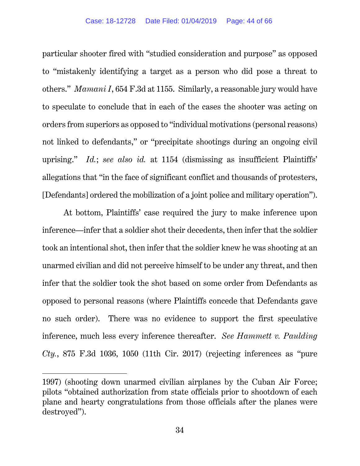particular shooter fired with "studied consideration and purpose" as opposed to "mistakenly identifying a target as a person who did pose a threat to others." *Mamani I*, 654 F.3d at 1155. Similarly, a reasonable jury would have to speculate to conclude that in each of the cases the shooter was acting on orders from superiors as opposed to "individual motivations (personal reasons) not linked to defendants," or "precipitate shootings during an ongoing civil uprising." *Id.*; *see also id.* at 1154 (dismissing as insufficient Plaintiffs' allegations that "in the face of significant conflict and thousands of protesters, [Defendants] ordered the mobilization of a joint police and military operation").

At bottom, Plaintiffs' case required the jury to make inference upon inference—infer that a soldier shot their decedents, then infer that the soldier took an intentional shot, then infer that the soldier knew he was shooting at an unarmed civilian and did not perceive himself to be under any threat, and then infer that the soldier took the shot based on some order from Defendants as opposed to personal reasons (where Plaintiffs concede that Defendants gave no such order). There was no evidence to support the first speculative inference, much less every inference thereafter. *See Hammett v. Paulding Cty.*, 875 F.3d 1036, 1050 (11th Cir. 2017) (rejecting inferences as "pure

<sup>1997) (</sup>shooting down unarmed civilian airplanes by the Cuban Air Force; pilots "obtained authorization from state officials prior to shootdown of each plane and hearty congratulations from those officials after the planes were destroyed").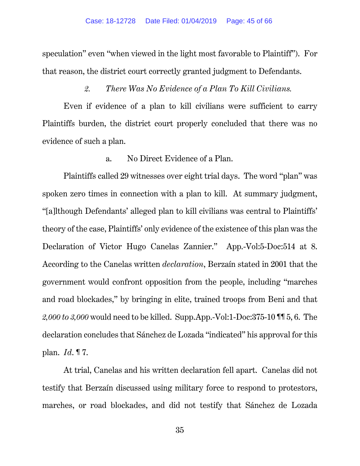speculation" even "when viewed in the light most favorable to Plaintiff"). For that reason, the district court correctly granted judgment to Defendants.

### *2. There Was No Evidence of a Plan To Kill Civilians.*

Even if evidence of a plan to kill civilians were sufficient to carry Plaintiffs burden, the district court properly concluded that there was no evidence of such a plan.

#### a. No Direct Evidence of a Plan.

Plaintiffs called 29 witnesses over eight trial days. The word "plan" was spoken zero times in connection with a plan to kill. At summary judgment, "[a]lthough Defendants' alleged plan to kill civilians was central to Plaintiffs' theory of the case, Plaintiffs' only evidence of the existence of this plan was the Declaration of Victor Hugo Canelas Zannier." App.-Vol:5-Doc:514 at 8. According to the Canelas written *declaration*, Berzaín stated in 2001 that the government would confront opposition from the people, including "marches and road blockades," by bringing in elite, trained troops from Beni and that *2,000 to 3,000* would need to be killed. Supp.App.-Vol:1-Doc:375-10 ¶¶ 5, 6. The declaration concludes that Sánchez de Lozada "indicated" his approval for this plan. *Id*. ¶ 7.

At trial, Canelas and his written declaration fell apart. Canelas did not testify that Berzaín discussed using military force to respond to protestors, marches, or road blockades, and did not testify that Sánchez de Lozada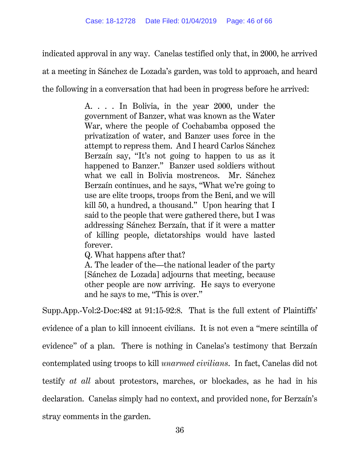indicated approval in any way. Canelas testified only that, in 2000, he arrived at a meeting in Sánchez de Lozada's garden, was told to approach, and heard the following in a conversation that had been in progress before he arrived:

> A. . . . In Bolivia, in the year 2000, under the government of Banzer, what was known as the Water War, where the people of Cochabamba opposed the privatization of water, and Banzer uses force in the attempt to repress them. And I heard Carlos Sánchez Berzaín say, "It's not going to happen to us as it happened to Banzer." Banzer used soldiers without what we call in Bolivia mostrencos. Mr. Sánchez Berzaín continues, and he says, "What we're going to use are elite troops, troops from the Beni, and we will kill 50, a hundred, a thousand." Upon hearing that I said to the people that were gathered there, but I was addressing Sánchez Berzaín, that if it were a matter of killing people, dictatorships would have lasted forever.

Q. What happens after that?

A. The leader of the—the national leader of the party [Sánchez de Lozada] adjourns that meeting, because other people are now arriving. He says to everyone and he says to me, "This is over."

Supp.App.-Vol:2-Doc:482 at 91:15-92:8. That is the full extent of Plaintiffs' evidence of a plan to kill innocent civilians. It is not even a "mere scintilla of evidence" of a plan. There is nothing in Canelas's testimony that Berzaín contemplated using troops to kill *unarmed civilians*. In fact, Canelas did not testify *at all* about protestors, marches, or blockades, as he had in his declaration. Canelas simply had no context, and provided none, for Berzaín's stray comments in the garden.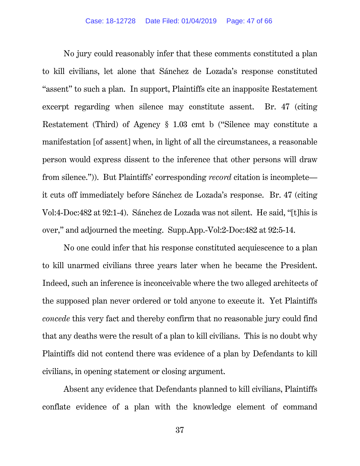No jury could reasonably infer that these comments constituted a plan to kill civilians, let alone that Sánchez de Lozada's response constituted "assent" to such a plan. In support, Plaintiffs cite an inapposite Restatement excerpt regarding when silence may constitute assent. Br. 47 (citing Restatement (Third) of Agency § 1.03 cmt b ("Silence may constitute a manifestation [of assent] when, in light of all the circumstances, a reasonable person would express dissent to the inference that other persons will draw from silence.")). But Plaintiffs' corresponding *record* citation is incomplete it cuts off immediately before Sánchez de Lozada's response. Br. 47 (citing Vol:4-Doc:482 at 92:1-4). Sánchez de Lozada was not silent. He said, "[t]his is over," and adjourned the meeting. Supp.App.-Vol:2-Doc:482 at 92:5-14.

No one could infer that his response constituted acquiescence to a plan to kill unarmed civilians three years later when he became the President. Indeed, such an inference is inconceivable where the two alleged architects of the supposed plan never ordered or told anyone to execute it. Yet Plaintiffs *concede* this very fact and thereby confirm that no reasonable jury could find that any deaths were the result of a plan to kill civilians. This is no doubt why Plaintiffs did not contend there was evidence of a plan by Defendants to kill civilians, in opening statement or closing argument.

Absent any evidence that Defendants planned to kill civilians, Plaintiffs conflate evidence of a plan with the knowledge element of command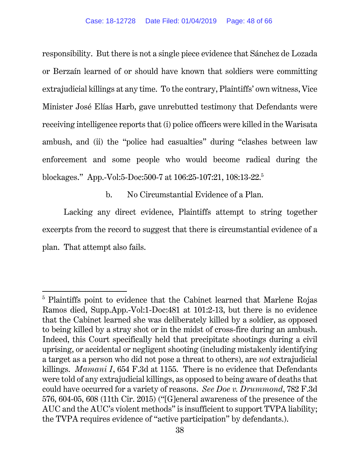responsibility. But there is not a single piece evidence that Sánchez de Lozada or Berzaín learned of or should have known that soldiers were committing extrajudicial killings at any time. To the contrary, Plaintiffs' own witness, Vice Minister José Elías Harb, gave unrebutted testimony that Defendants were receiving intelligence reports that (i) police officers were killed in the Warisata ambush, and (ii) the "police had casualties" during "clashes between law enforcement and some people who would become radical during the blockages." App.-Vol:5-Doc:500-7 at 106:25-107:21, 108:13-22.5

b. No Circumstantial Evidence of a Plan.

Lacking any direct evidence, Plaintiffs attempt to string together excerpts from the record to suggest that there is circumstantial evidence of a plan. That attempt also fails.

<sup>&</sup>lt;sup>5</sup> Plaintiffs point to evidence that the Cabinet learned that Marlene Rojas Ramos died, Supp.App.-Vol:1-Doc:481 at 101:2-13, but there is no evidence that the Cabinet learned she was deliberately killed by a soldier, as opposed to being killed by a stray shot or in the midst of cross-fire during an ambush. Indeed, this Court specifically held that precipitate shootings during a civil uprising, or accidental or negligent shooting (including mistakenly identifying a target as a person who did not pose a threat to others), are *not* extrajudicial killings. *Mamani I*, 654 F.3d at 1155. There is no evidence that Defendants were told of any extrajudicial killings, as opposed to being aware of deaths that could have occurred for a variety of reasons. *See Doe v. Drummond*, 782 F.3d 576, 604-05, 608 (11th Cir. 2015) ("[G]eneral awareness of the presence of the AUC and the AUC's violent methods" is insufficient to support TVPA liability; the TVPA requires evidence of "active participation" by defendants.).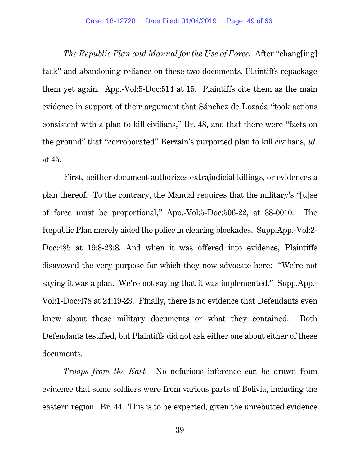*The Republic Plan and Manual for the Use of Force.* After "chang[ing] tack" and abandoning reliance on these two documents, Plaintiffs repackage them yet again. App.-Vol:5-Doc:514 at 15. Plaintiffs cite them as the main evidence in support of their argument that Sánchez de Lozada "took actions consistent with a plan to kill civilians," Br. 48, and that there were "facts on the ground" that "corroborated" Berzaín's purported plan to kill civilians, *id.*  at 45.

First, neither document authorizes extrajudicial killings, or evidences a plan thereof. To the contrary, the Manual requires that the military's "[u]se of force must be proportional," App.-Vol:5-Doc:506-22, at 38-0010. The Republic Plan merely aided the police in clearing blockades. Supp.App.-Vol:2- Doc:485 at 19:8-23:8. And when it was offered into evidence, Plaintiffs disavowed the very purpose for which they now advocate here: "We're not saying it was a plan. We're not saying that it was implemented." Supp.App.- Vol:1-Doc:478 at 24:19-23. Finally, there is no evidence that Defendants even knew about these military documents or what they contained. Both Defendants testified, but Plaintiffs did not ask either one about either of these documents.

*Troops from the East.* No nefarious inference can be drawn from evidence that some soldiers were from various parts of Bolivia, including the eastern region. Br. 44. This is to be expected, given the unrebutted evidence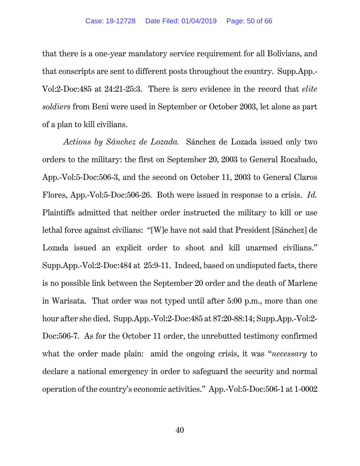that there is a one-year mandatory service requirement for all Bolivians, and that conscripts are sent to different posts throughout the country. Supp.App.- Vol:2-Doc:485 at 24:21-25:3. There is zero evidence in the record that *elite soldiers* from Beni were used in September or October 2003, let alone as part of a plan to kill civilians.

*Actions by Sánchez de Lozada.* Sánchez de Lozada issued only two orders to the military: the first on September 20, 2003 to General Rocabado, App.-Vol:5-Doc:506-3, and the second on October 11, 2003 to General Claros Flores, App.-Vol:5-Doc:506-26. Both were issued in response to a crisis. *Id.*  Plaintiffs admitted that neither order instructed the military to kill or use lethal force against civilians: "[W]e have not said that President [Sánchez] de Lozada issued an explicit order to shoot and kill unarmed civilians." Supp.App.-Vol:2-Doc:484 at 25:9-11. Indeed, based on undisputed facts, there is no possible link between the September 20 order and the death of Marlene in Warisata. That order was not typed until after 5:00 p.m., more than one hour after she died. Supp.App.-Vol:2-Doc:485 at 87:20-88:14; Supp.App.-Vol:2- Doc:506-7. As for the October 11 order, the unrebutted testimony confirmed what the order made plain: amid the ongoing crisis, it was "*necessary* to declare a national emergency in order to safeguard the security and normal operation of the country's economic activities." App.-Vol:5-Doc:506-1 at 1-0002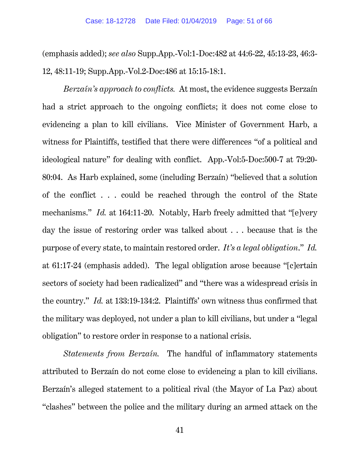(emphasis added); *see also* Supp.App.-Vol:1-Doc:482 at 44:6-22, 45:13-23, 46:3- 12, 48:11-19; Supp.App.-Vol.2-Doc:486 at 15:15-18:1.

*Berzaín's approach to conflicts.* At most, the evidence suggests Berzaín had a strict approach to the ongoing conflicts; it does not come close to evidencing a plan to kill civilians. Vice Minister of Government Harb, a witness for Plaintiffs, testified that there were differences "of a political and ideological nature" for dealing with conflict. App.-Vol:5-Doc:500-7 at 79:20- 80:04. As Harb explained, some (including Berzaín) "believed that a solution of the conflict . . . could be reached through the control of the State mechanisms." *Id.* at 164:11-20. Notably, Harb freely admitted that "[e]very day the issue of restoring order was talked about . . . because that is the purpose of every state, to maintain restored order. *It's a legal obligation*." *Id.* at 61:17-24 (emphasis added). The legal obligation arose because "[c]ertain sectors of society had been radicalized" and "there was a widespread crisis in the country." *Id.* at 133:19-134:2. Plaintiffs' own witness thus confirmed that the military was deployed, not under a plan to kill civilians, but under a "legal obligation" to restore order in response to a national crisis.

*Statements from Berzaín.* The handful of inflammatory statements attributed to Berzaín do not come close to evidencing a plan to kill civilians. Berzaín's alleged statement to a political rival (the Mayor of La Paz) about "clashes" between the police and the military during an armed attack on the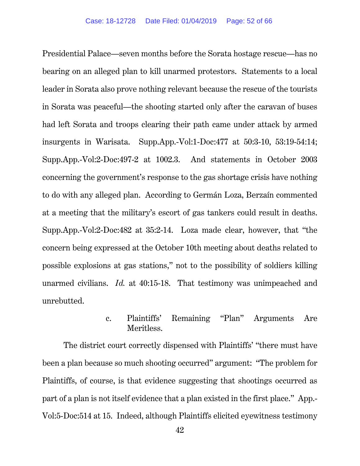Presidential Palace—seven months before the Sorata hostage rescue—has no bearing on an alleged plan to kill unarmed protestors. Statements to a local leader in Sorata also prove nothing relevant because the rescue of the tourists in Sorata was peaceful—the shooting started only after the caravan of buses had left Sorata and troops clearing their path came under attack by armed insurgents in Warisata. Supp.App.-Vol:1-Doc:477 at 50:3-10, 53:19-54:14; Supp.App.-Vol:2-Doc:497-2 at 1002.3. And statements in October 2003 concerning the government's response to the gas shortage crisis have nothing to do with any alleged plan. According to Germán Loza, Berzaín commented at a meeting that the military's escort of gas tankers could result in deaths. Supp.App.-Vol:2-Doc:482 at 35:2-14. Loza made clear, however, that "the concern being expressed at the October 10th meeting about deaths related to possible explosions at gas stations," not to the possibility of soldiers killing unarmed civilians. *Id.* at 40:15-18. That testimony was unimpeached and unrebutted.

## c. Plaintiffs' Remaining "Plan" Arguments Are Meritless.

The district court correctly dispensed with Plaintiffs' "there must have been a plan because so much shooting occurred" argument: "The problem for Plaintiffs, of course, is that evidence suggesting that shootings occurred as part of a plan is not itself evidence that a plan existed in the first place." App.- Vol:5-Doc:514 at 15. Indeed, although Plaintiffs elicited eyewitness testimony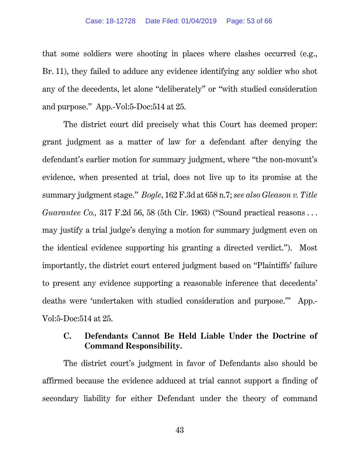#### Case: 18-12728 Date Filed: 01/04/2019 Page: 53 of 66

that some soldiers were shooting in places where clashes occurred (e.g., Br. 11), they failed to adduce any evidence identifying any soldier who shot any of the decedents, let alone "deliberately" or "with studied consideration and purpose." App.-Vol:5-Doc:514 at 25.

The district court did precisely what this Court has deemed proper: grant judgment as a matter of law for a defendant after denying the defendant's earlier motion for summary judgment, where "the non-movant's evidence, when presented at trial, does not live up to its promise at the summary judgment stage." *Bogle*, 162 F.3d at 658 n.7; *see also Gleason v. Title Guarantee Co.,* 317 F.2d 56, 58 (5th Cir. 1963) ("Sound practical reasons... may justify a trial judge's denying a motion for summary judgment even on the identical evidence supporting his granting a directed verdict."). Most importantly, the district court entered judgment based on "Plaintiffs' failure to present any evidence supporting a reasonable inference that decedents' deaths were 'undertaken with studied consideration and purpose.'" App.- Vol:5-Doc:514 at 25.

### **C. Defendants Cannot Be Held Liable Under the Doctrine of Command Responsibility.**

The district court's judgment in favor of Defendants also should be affirmed because the evidence adduced at trial cannot support a finding of secondary liability for either Defendant under the theory of command

43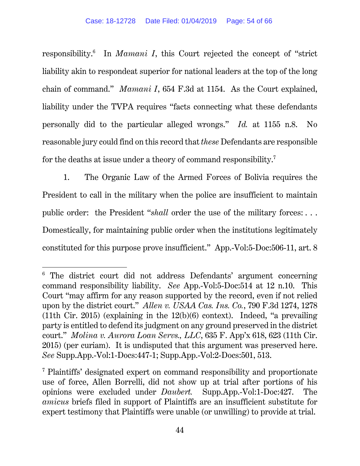responsibility.6 In *Mamani I*, this Court rejected the concept of "strict liability akin to respondeat superior for national leaders at the top of the long chain of command." *Mamani I*, 654 F.3d at 1154. As the Court explained, liability under the TVPA requires "facts connecting what these defendants personally did to the particular alleged wrongs." *Id.* at 1155 n.8. No reasonable jury could find on this record that *these* Defendants are responsible for the deaths at issue under a theory of command responsibility.<sup>7</sup>

1. The Organic Law of the Armed Forces of Bolivia requires the President to call in the military when the police are insufficient to maintain public order: the President "*shall* order the use of the military forces:... Domestically, for maintaining public order when the institutions legitimately constituted for this purpose prove insufficient." App.-Vol:5-Doc:506-11, art. 8

<sup>&</sup>lt;sup>6</sup> The district court did not address Defendants' argument concerning command responsibility liability. *See* App.-Vol:5-Doc:514 at 12 n.10. This Court "may affirm for any reason supported by the record, even if not relied upon by the district court." *Allen v. USAA Cas. Ins. Co.*, 790 F.3d 1274, 1278 (11th Cir. 2015) (explaining in the  $12(b)(6)$  context). Indeed, "a prevailing party is entitled to defend its judgment on any ground preserved in the district court." *Molina v. Aurora Loan Servs., LLC*, 635 F. App'x 618, 623 (11th Cir. 2015) (per curiam). It is undisputed that this argument was preserved here. *See* Supp.App.-Vol:1-Docs:447-1; Supp.App.-Vol:2-Docs:501, 513.

<sup>7</sup> Plaintiffs' designated expert on command responsibility and proportionate use of force, Allen Borrelli, did not show up at trial after portions of his opinions were excluded under *Daubert.* Supp.App.-Vol:1-Doc:427.The *amicus* briefs filed in support of Plaintiffs are an insufficient substitute for expert testimony that Plaintiffs were unable (or unwilling) to provide at trial.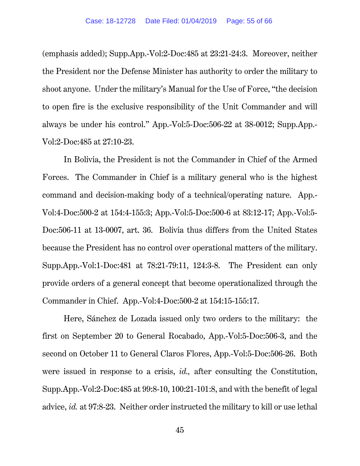(emphasis added); Supp.App.-Vol:2-Doc:485 at 23:21-24:3. Moreover, neither the President nor the Defense Minister has authority to order the military to shoot anyone. Under the military's Manual for the Use of Force, "the decision to open fire is the exclusive responsibility of the Unit Commander and will always be under his control." App.-Vol:5-Doc:506-22 at 38-0012; Supp.App.- Vol:2-Doc:485 at 27:10-23.

In Bolivia, the President is not the Commander in Chief of the Armed Forces. The Commander in Chief is a military general who is the highest command and decision-making body of a technical/operating nature. App.- Vol:4-Doc:500-2 at 154:4-155:3; App.-Vol:5-Doc:500-6 at 83:12-17; App.-Vol:5- Doc:506-11 at 13-0007, art. 36. Bolivia thus differs from the United States because the President has no control over operational matters of the military. Supp.App.-Vol:1-Doc:481 at 78:21-79:11, 124:3-8. The President can only provide orders of a general concept that become operationalized through the Commander in Chief. App.-Vol:4-Doc:500-2 at 154:15-155:17.

Here, Sánchez de Lozada issued only two orders to the military: the first on September 20 to General Rocabado, App.-Vol:5-Doc:506-3, and the second on October 11 to General Claros Flores, App.-Vol:5-Doc:506-26. Both were issued in response to a crisis, *id.,* after consulting the Constitution, Supp.App.-Vol:2-Doc:485 at 99:8-10, 100:21-101:8, and with the benefit of legal advice, *id.* at 97:8-23. Neither order instructed the military to kill or use lethal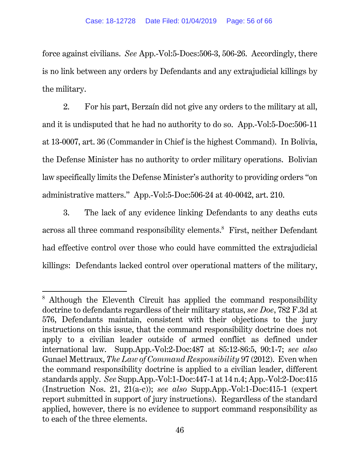force against civilians. *See* App.-Vol:5-Docs:506-3, 506-26. Accordingly, there is no link between any orders by Defendants and any extrajudicial killings by the military.

2. For his part, Berzaín did not give any orders to the military at all, and it is undisputed that he had no authority to do so. App.-Vol:5-Doc:506-11 at 13-0007, art. 36 (Commander in Chief is the highest Command). In Bolivia, the Defense Minister has no authority to order military operations. Bolivian law specifically limits the Defense Minister's authority to providing orders "on administrative matters." App.-Vol:5-Doc:506-24 at 40-0042, art. 210.

3. The lack of any evidence linking Defendants to any deaths cuts across all three command responsibility elements. $\delta$  First, neither Defendant had effective control over those who could have committed the extrajudicial killings: Defendants lacked control over operational matters of the military,

<sup>&</sup>lt;sup>8</sup> Although the Eleventh Circuit has applied the command responsibility doctrine to defendants regardless of their military status, *see Doe*, 782 F.3d at 576, Defendants maintain, consistent with their objections to the jury instructions on this issue, that the command responsibility doctrine does not apply to a civilian leader outside of armed conflict as defined under international law. Supp.App.-Vol:2-Doc:487 at 85:12-86:5, 90:1-7; *see also*  Gunael Mettraux, *The Law of Command Responsibility* 97 (2012). Even when the command responsibility doctrine is applied to a civilian leader, different standards apply. *See* Supp.App.-Vol:1-Doc:447-1 at 14 n.4; App.-Vol:2-Doc:415 (Instruction Nos. 21, 21(a-c)); *see also* Supp.App.-Vol:1-Doc:415-1 (expert report submitted in support of jury instructions). Regardless of the standard applied, however, there is no evidence to support command responsibility as to each of the three elements.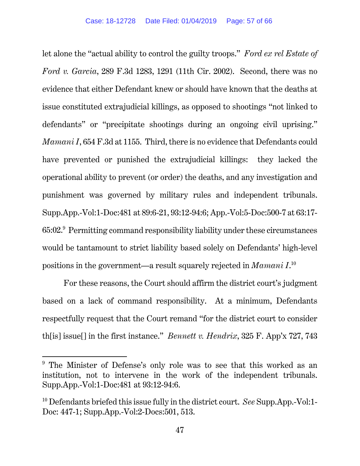let alone the "actual ability to control the guilty troops." *Ford ex rel Estate of Ford v. Garcia*, 289 F.3d 1283, 1291 (11th Cir. 2002). Second, there was no evidence that either Defendant knew or should have known that the deaths at issue constituted extrajudicial killings, as opposed to shootings "not linked to defendants" or "precipitate shootings during an ongoing civil uprising." *Mamani I*, 654 F.3d at 1155. Third, there is no evidence that Defendants could have prevented or punished the extrajudicial killings: they lacked the operational ability to prevent (or order) the deaths, and any investigation and punishment was governed by military rules and independent tribunals. Supp.App.-Vol:1-Doc:481 at 89:6-21, 93:12-94:6; App.-Vol:5-Doc:500-7 at 63:17-  $65:02.^9$  Permitting command responsibility liability under these circumstances would be tantamount to strict liability based solely on Defendants' high-level positions in the government—a result squarely rejected in *Mamani I*. 10

For these reasons, the Court should affirm the district court's judgment based on a lack of command responsibility. At a minimum, Defendants respectfully request that the Court remand "for the district court to consider th[is] issue[] in the first instance." *Bennett v. Hendrix*, 325 F. App'x 727, 743

<sup>&</sup>lt;sup>9</sup> The Minister of Defense's only role was to see that this worked as an institution, not to intervene in the work of the independent tribunals. Supp.App.-Vol:1-Doc:481 at 93:12-94:6.

<sup>10</sup> Defendants briefed this issue fully in the district court. *See* Supp.App.-Vol:1- Doc: 447-1; Supp.App.-Vol:2-Docs:501, 513.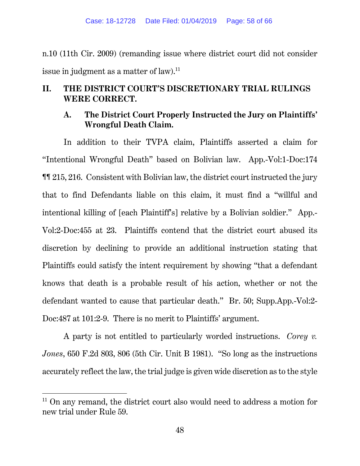n.10 (11th Cir. 2009) (remanding issue where district court did not consider issue in judgment as a matter of law.<sup>11</sup>

## **II. THE DISTRICT COURT'S DISCRETIONARY TRIAL RULINGS WERE CORRECT.**

## **A. The District Court Properly Instructed the Jury on Plaintiffs' Wrongful Death Claim.**

In addition to their TVPA claim, Plaintiffs asserted a claim for "Intentional Wrongful Death" based on Bolivian law. App.-Vol:1-Doc:174 ¶¶ 215, 216. Consistent with Bolivian law, the district court instructed the jury that to find Defendants liable on this claim, it must find a "willful and intentional killing of [each Plaintiff's] relative by a Bolivian soldier." App.- Vol:2-Doc:455 at 23. Plaintiffs contend that the district court abused its discretion by declining to provide an additional instruction stating that Plaintiffs could satisfy the intent requirement by showing "that a defendant knows that death is a probable result of his action, whether or not the defendant wanted to cause that particular death." Br. 50; Supp.App.-Vol:2- Doc: 487 at 101: 2-9. There is no merit to Plaintiffs' argument.

A party is not entitled to particularly worded instructions. *Corey v. Jones*, 650 F.2d 803, 806 (5th Cir. Unit B 1981). "So long as the instructions accurately reflect the law, the trial judge is given wide discretion as to the style

 $11$  On any remand, the district court also would need to address a motion for new trial under Rule 59.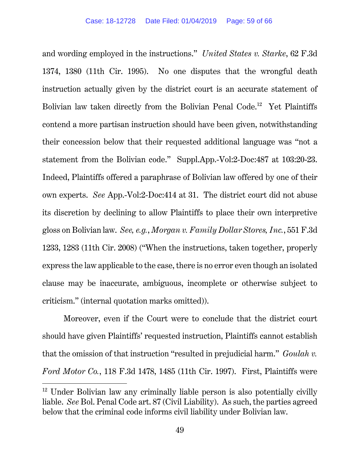and wording employed in the instructions." *United States v. Starke*, 62 F.3d 1374, 1380 (11th Cir. 1995). No one disputes that the wrongful death instruction actually given by the district court is an accurate statement of Bolivian law taken directly from the Bolivian Penal Code.<sup>12</sup> Yet Plaintiffs contend a more partisan instruction should have been given, notwithstanding their concession below that their requested additional language was "not a statement from the Bolivian code." Suppl.App.-Vol:2-Doc:487 at 103:20-23. Indeed, Plaintiffs offered a paraphrase of Bolivian law offered by one of their own experts. *See* App.-Vol:2-Doc:414 at 31. The district court did not abuse its discretion by declining to allow Plaintiffs to place their own interpretive gloss on Bolivian law. *See, e.g.*, *Morgan v. Family Dollar Stores, Inc.*, 551 F.3d 1233, 1283 (11th Cir. 2008) ("When the instructions, taken together, properly express the law applicable to the case, there is no error even though an isolated clause may be inaccurate, ambiguous, incomplete or otherwise subject to criticism." (internal quotation marks omitted)).

Moreover, even if the Court were to conclude that the district court should have given Plaintiffs' requested instruction, Plaintiffs cannot establish that the omission of that instruction "resulted in prejudicial harm." *Goulah v. Ford Motor Co.*, 118 F.3d 1478, 1485 (11th Cir. 1997). First, Plaintiffs were

 $12$  Under Bolivian law any criminally liable person is also potentially civilly liable. *See* Bol. Penal Code art. 87 (Civil Liability). As such, the parties agreed below that the criminal code informs civil liability under Bolivian law.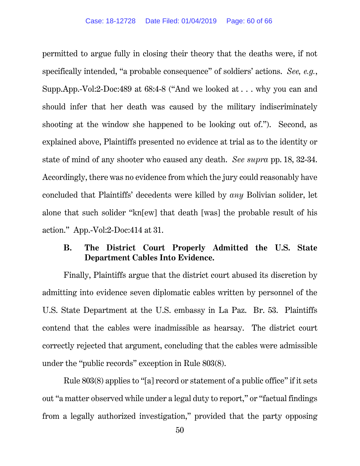permitted to argue fully in closing their theory that the deaths were, if not specifically intended, "a probable consequence" of soldiers' actions. *See, e.g.*, Supp.App.-Vol:2-Doc:489 at 68:4-8 ("And we looked at . . . why you can and should infer that her death was caused by the military indiscriminately shooting at the window she happened to be looking out of."). Second, as explained above, Plaintiffs presented no evidence at trial as to the identity or state of mind of any shooter who caused any death. *See supra* pp. 18, 32-34. Accordingly, there was no evidence from which the jury could reasonably have concluded that Plaintiffs' decedents were killed by *any* Bolivian solider, let alone that such solider "kn[ew] that death [was] the probable result of his action." App.-Vol:2-Doc:414 at 31.

### **B. The District Court Properly Admitted the U.S. State Department Cables Into Evidence.**

Finally, Plaintiffs argue that the district court abused its discretion by admitting into evidence seven diplomatic cables written by personnel of the U.S. State Department at the U.S. embassy in La Paz. Br. 53. Plaintiffs contend that the cables were inadmissible as hearsay. The district court correctly rejected that argument, concluding that the cables were admissible under the "public records" exception in Rule 803(8).

Rule 803(8) applies to "[a] record or statement of a public office" if it sets out "a matter observed while under a legal duty to report," or "factual findings from a legally authorized investigation," provided that the party opposing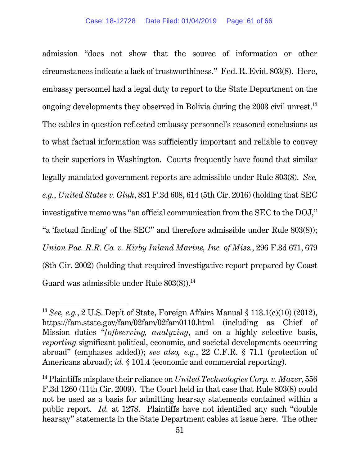admission "does not show that the source of information or other circumstances indicate a lack of trustworthiness." Fed. R. Evid. 803(8). Here, embassy personnel had a legal duty to report to the State Department on the ongoing developments they observed in Bolivia during the 2003 civil unrest.<sup>13</sup> The cables in question reflected embassy personnel's reasoned conclusions as to what factual information was sufficiently important and reliable to convey to their superiors in Washington. Courts frequently have found that similar legally mandated government reports are admissible under Rule 803(8). *See, e.g.*, *United States v. Gluk*, 831 F.3d 608, 614 (5th Cir. 2016) (holding that SEC investigative memo was "an official communication from the SEC to the DOJ," "a 'factual finding' of the SEC" and therefore admissible under Rule 803(8)); *Union Pac. R.R. Co. v. Kirby Inland Marine, Inc. of Miss.*, 296 F.3d 671, 679 (8th Cir. 2002) (holding that required investigative report prepared by Coast Guard was admissible under Rule  $803(8)$ .<sup>14</sup>

<sup>13</sup> *See, e.g.*, 2 U.S. Dep't of State, Foreign Affairs Manual § 113.1(c)(10) (2012), https://fam.state.gov/fam/02fam/02fam0110.html (including as Chief of Mission duties "*[o]bserving, analyzing*, and on a highly selective basis, *reporting* significant political, economic, and societal developments occurring abroad" (emphases added)); *see also, e.g.*, 22 C.F.R. § 71.1 (protection of Americans abroad); *id.* § 101.4 (economic and commercial reporting).

<sup>14</sup> Plaintiffs misplace their reliance on *United Technologies Corp. v. Mazer*, 556 F.3d 1260 (11th Cir. 2009). The Court held in that case that Rule 803(8) could not be used as a basis for admitting hearsay statements contained within a public report. *Id.* at 1278. Plaintiffs have not identified any such "double hearsay" statements in the State Department cables at issue here. The other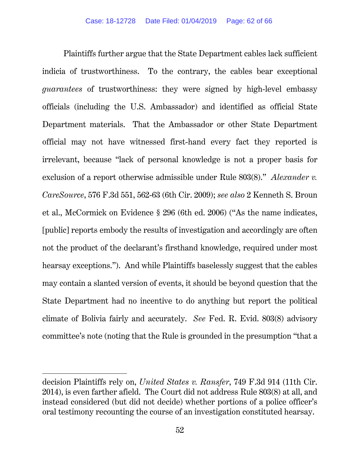Plaintiffs further argue that the State Department cables lack sufficient indicia of trustworthiness. To the contrary, the cables bear exceptional *guarantees* of trustworthiness: they were signed by high-level embassy officials (including the U.S. Ambassador) and identified as official State Department materials. That the Ambassador or other State Department official may not have witnessed first-hand every fact they reported is irrelevant, because "lack of personal knowledge is not a proper basis for exclusion of a report otherwise admissible under Rule 803(8)." *Alexander v. CareSource*, 576 F.3d 551, 562-63 (6th Cir. 2009); *see also* 2 Kenneth S. Broun et al., McCormick on Evidence § 296 (6th ed. 2006) ("As the name indicates, [public] reports embody the results of investigation and accordingly are often not the product of the declarant's firsthand knowledge, required under most hearsay exceptions."). And while Plaintiffs baselessly suggest that the cables may contain a slanted version of events, it should be beyond question that the State Department had no incentive to do anything but report the political climate of Bolivia fairly and accurately. *See* Fed. R. Evid. 803(8) advisory committee's note (noting that the Rule is grounded in the presumption "that a

decision Plaintiffs rely on, *United States v. Ransfer*, 749 F.3d 914 (11th Cir. 2014), is even farther afield. The Court did not address Rule 803(8) at all, and instead considered (but did not decide) whether portions of a police officer's oral testimony recounting the course of an investigation constituted hearsay.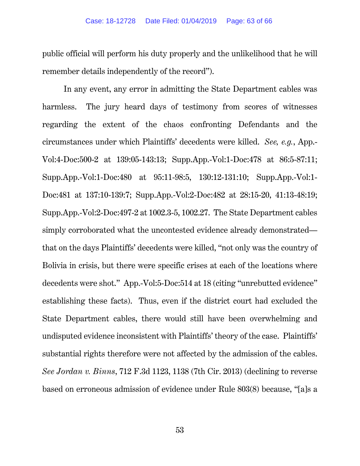public official will perform his duty properly and the unlikelihood that he will remember details independently of the record").

In any event, any error in admitting the State Department cables was harmless. The jury heard days of testimony from scores of witnesses regarding the extent of the chaos confronting Defendants and the circumstances under which Plaintiffs' decedents were killed. *See, e.g.*, App.- Vol:4-Doc:500-2 at 139:05-143:13; Supp.App.-Vol:1-Doc:478 at 86:5-87:11; Supp.App.-Vol:1-Doc:480 at 95:11-98:5, 130:12-131:10; Supp.App.-Vol:1- Doc:481 at 137:10-139:7; Supp.App.-Vol:2-Doc:482 at 28:15-20, 41:13-48:19; Supp.App.-Vol:2-Doc:497-2 at 1002.3-5, 1002.27. The State Department cables simply corroborated what the uncontested evidence already demonstrated that on the days Plaintiffs' decedents were killed, "not only was the country of Bolivia in crisis, but there were specific crises at each of the locations where decedents were shot." App.-Vol:5-Doc:514 at 18 (citing "unrebutted evidence" establishing these facts). Thus, even if the district court had excluded the State Department cables, there would still have been overwhelming and undisputed evidence inconsistent with Plaintiffs' theory of the case. Plaintiffs' substantial rights therefore were not affected by the admission of the cables. *See Jordan v. Binns*, 712 F.3d 1123, 1138 (7th Cir. 2013) (declining to reverse based on erroneous admission of evidence under Rule 803(8) because, "[a]s a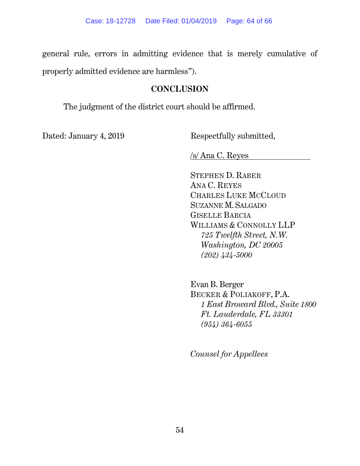general rule, errors in admitting evidence that is merely cumulative of properly admitted evidence are harmless").

## **CONCLUSION**

The judgment of the district court should be affirmed.

Dated: January 4, 2019 Respectfully submitted,

/s/ Ana C. Reyes

STEPHEN D. RABER ANA C. REYES CHARLES LUKE MCCLOUD SUZANNE M.SALGADO GISELLE BARCIA WILLIAMS & CONNOLLY LLP  *725 Twelfth Street, N.W. Washington, DC 20005 (202) 434-5000*

Evan B. Berger BECKER & POLIAKOFF, P.A.  *1 East Broward Blvd., Suite 1800 Ft. Lauderdale, FL 33301 (954) 364-6055* 

*Counsel for Appellees*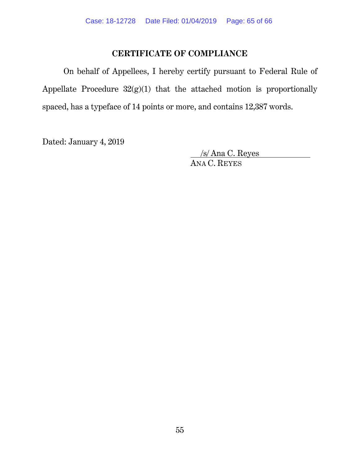## **CERTIFICATE OF COMPLIANCE**

On behalf of Appellees, I hereby certify pursuant to Federal Rule of Appellate Procedure 32(g)(1) that the attached motion is proportionally spaced, has a typeface of 14 points or more, and contains 12,387 words.

Dated: January 4, 2019

 /s/ Ana C. Reyes ANA C. REYES